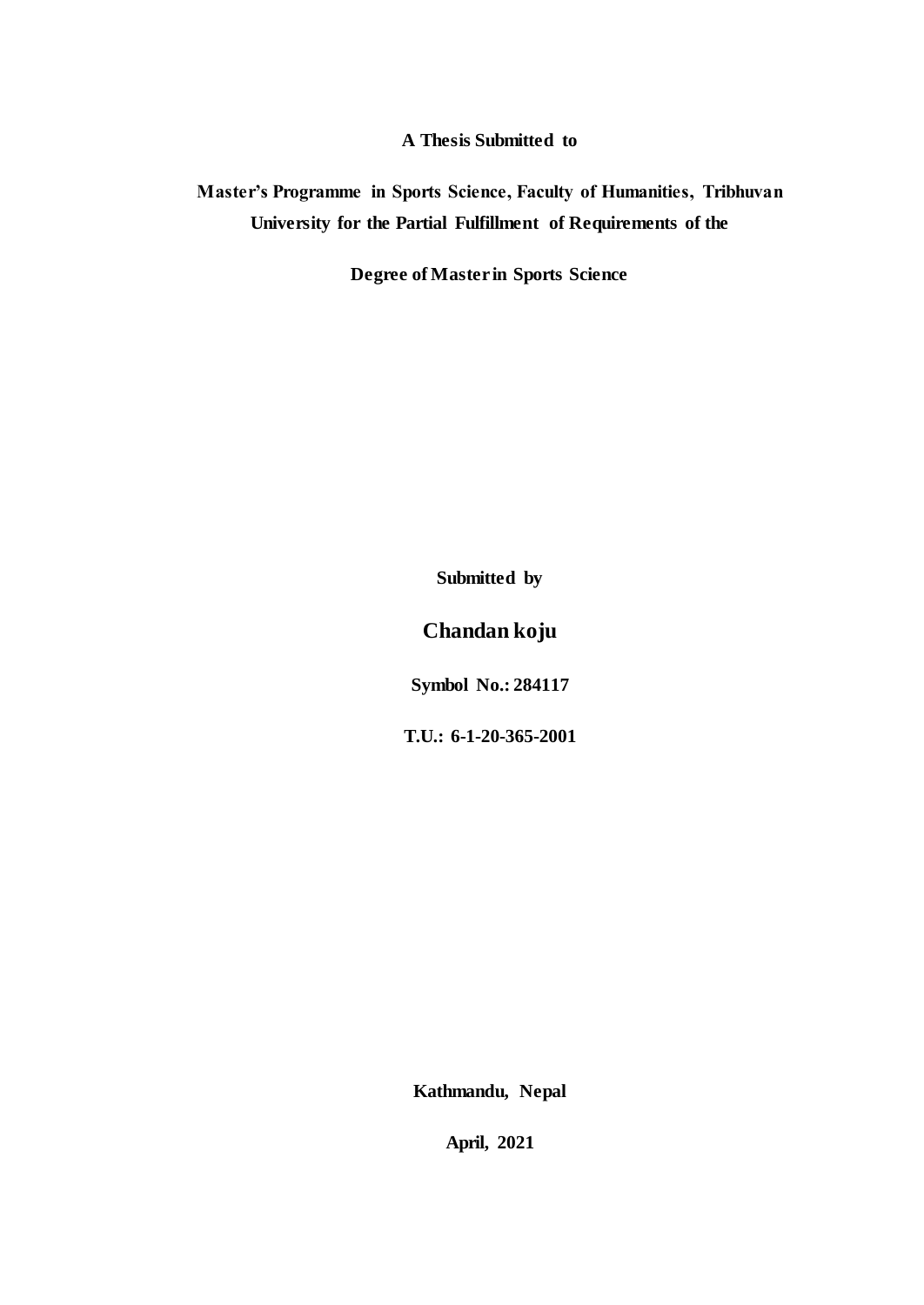**A Thesis Submitted to**

**Master's Programme in Sports Science, Faculty of Humanities, Tribhuvan University for the Partial Fulfillment of Requirements of the** 

**Degree of Master in Sports Science**

**Submitted by**

**Chandan koju**

**Symbol No.: 284117**

**T.U.: 6-1-20-365-2001**

**Kathmandu, Nepal**

**April, 2021**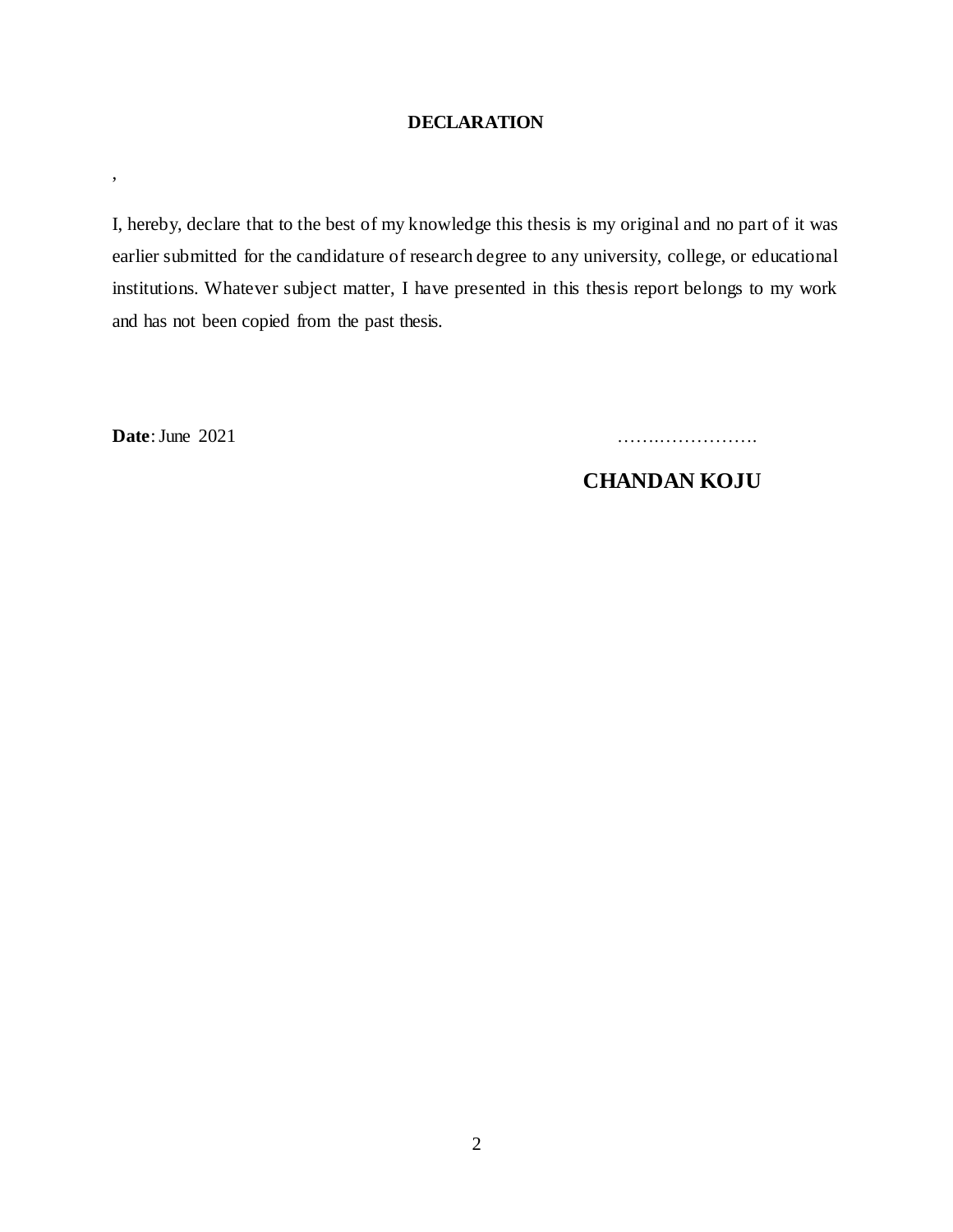## **DECLARATION**

I, hereby, declare that to the best of my knowledge this thesis is my original and no part of it was earlier submitted for the candidature of research degree to any university, college, or educational institutions. Whatever subject matter, I have presented in this thesis report belongs to my work and has not been copied from the past thesis.

,

**Date**:June 2021 …….…………….

 **CHANDAN KOJU**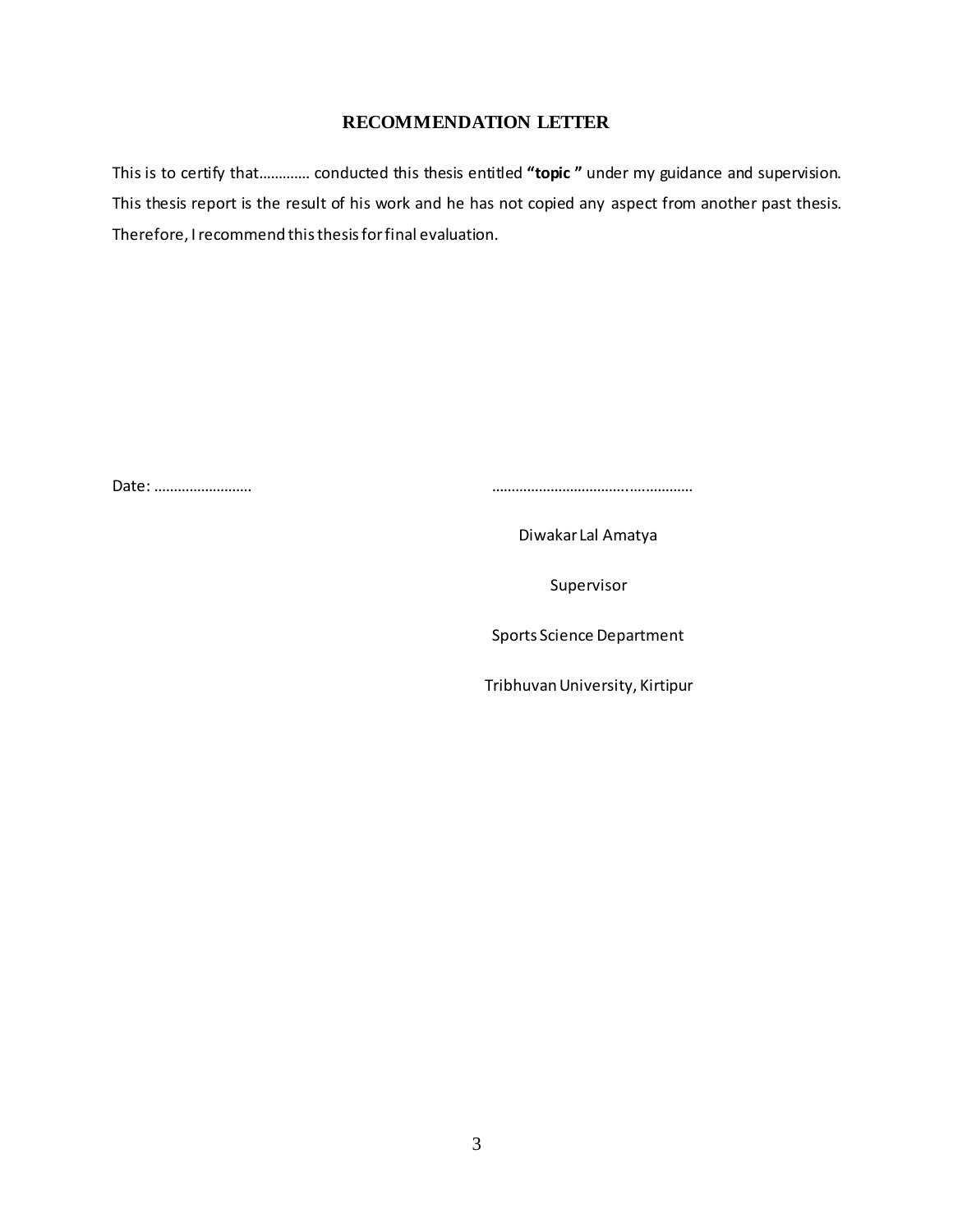### **RECOMMENDATION LETTER**

This is to certify that…………. conducted this thesis entitled **"topic "** under my guidance and supervision. This thesis report is the result of his work and he has not copied any aspect from another past thesis. Therefore, I recommend this thesis for final evaluation.

Date: ……………………. ……………………………..….…………

Diwakar Lal Amatya

Supervisor

Sports Science Department

Tribhuvan University, Kirtipur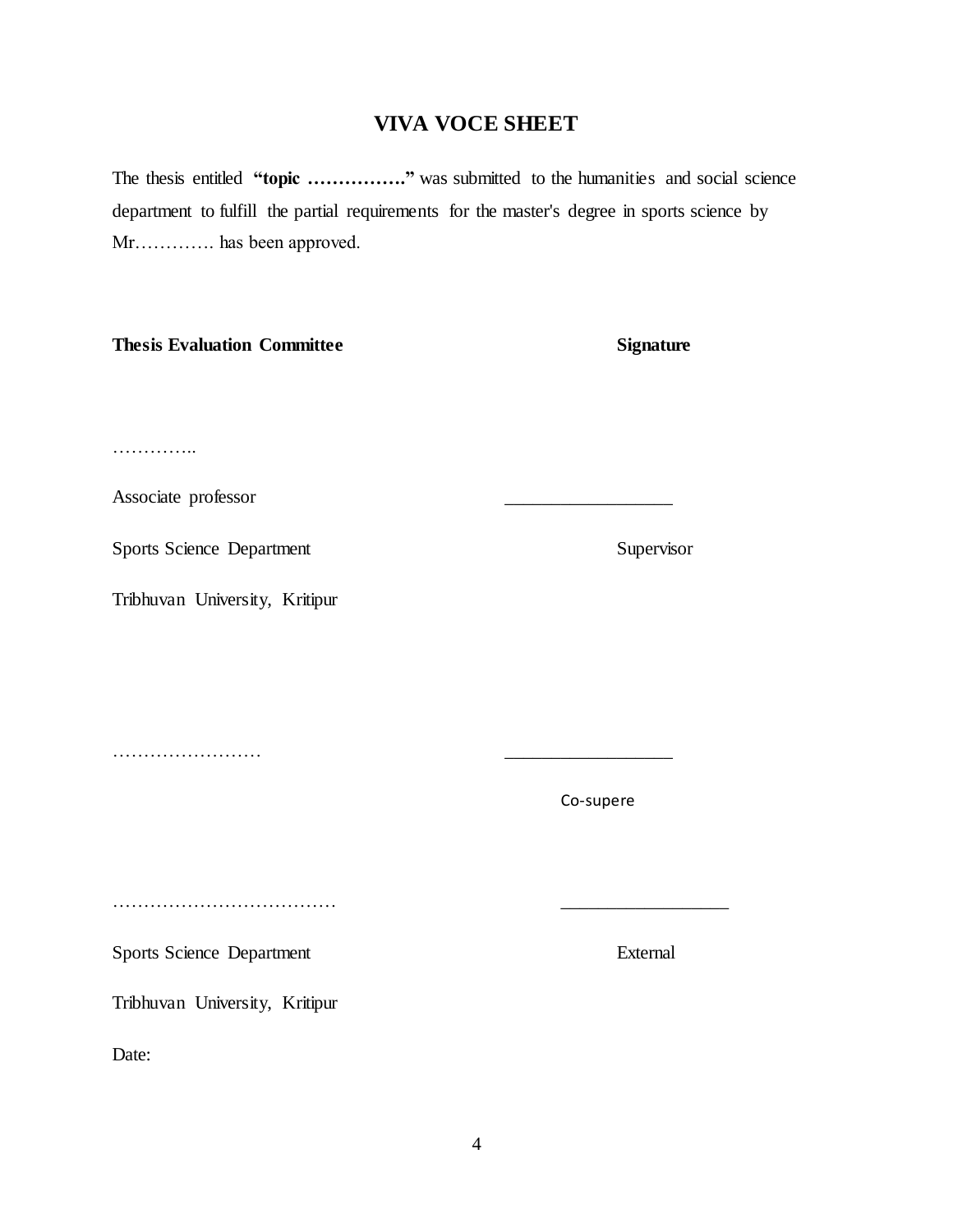## **VIVA VOCE SHEET**

The thesis entitled "topic ................" was submitted to the humanities and social science department to fulfill the partial requirements for the master's degree in sports science by Mr…………. has been approved.

### **Thesis Evaluation Committee Signature**

……………

Associate professor \_\_\_\_\_\_\_\_\_\_\_\_\_\_\_\_\_\_

Sports Science Department Supervisor

Tribhuvan University, Kritipur

………………………………………

Tribhuvan University, Kritipur

Date:

……………………

Sports Science Department External

Co-supere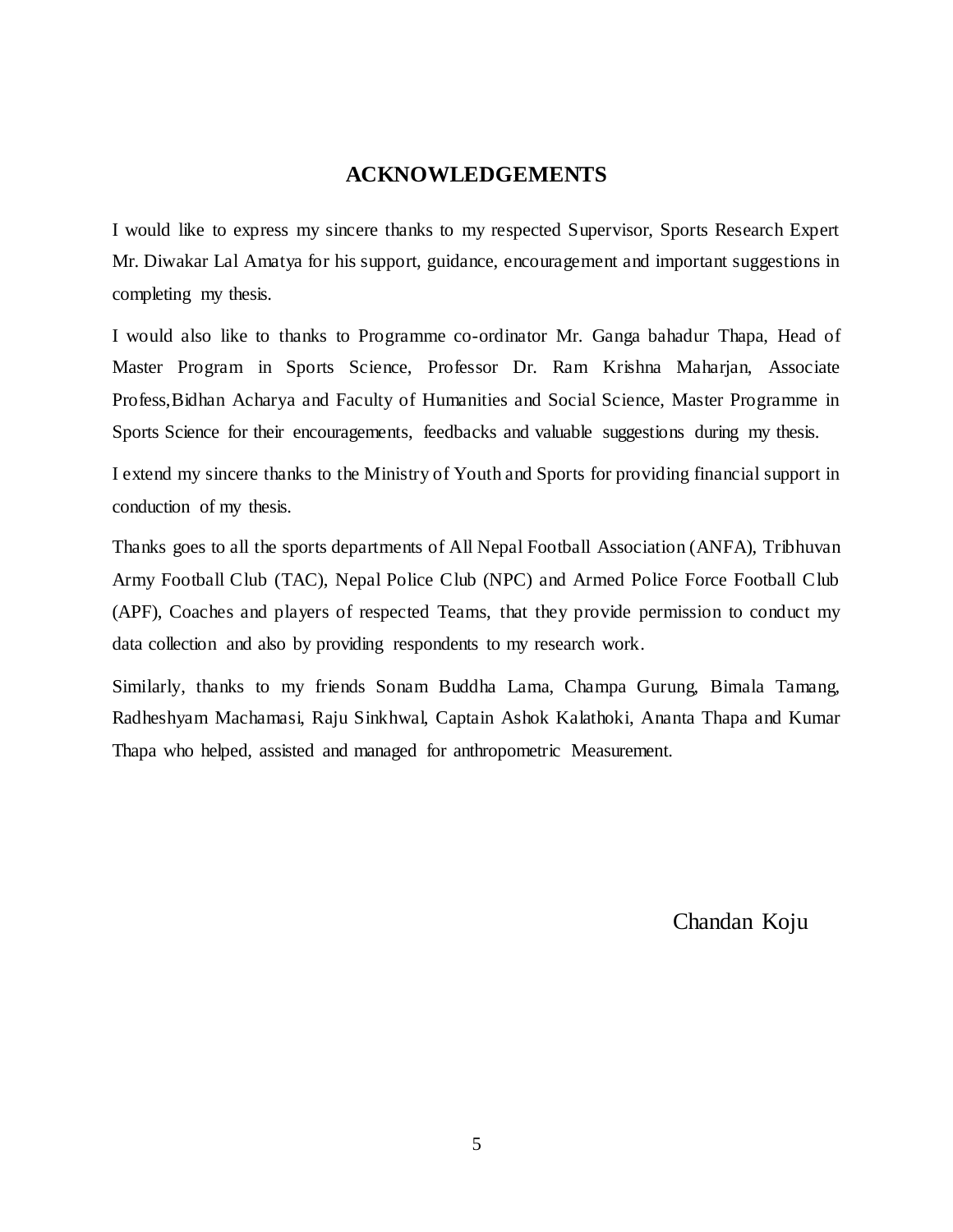## **ACKNOWLEDGEMENTS**

I would like to express my sincere thanks to my respected Supervisor, Sports Research Expert Mr. Diwakar Lal Amatya for his support, guidance, encouragement and important suggestions in completing my thesis.

I would also like to thanks to Programme co-ordinator Mr. Ganga bahadur Thapa, Head of Master Program in Sports Science, Professor Dr. Ram Krishna Maharjan, Associate Profess,Bidhan Acharya and Faculty of Humanities and Social Science, Master Programme in Sports Science for their encouragements, feedbacks and valuable suggestions during my thesis.

I extend my sincere thanks to the Ministry of Youth and Sports for providing financial support in conduction of my thesis.

Thanks goes to all the sports departments of All Nepal Football Association (ANFA), Tribhuvan Army Football Club (TAC), Nepal Police Club (NPC) and Armed Police Force Football Club (APF), Coaches and players of respected Teams, that they provide permission to conduct my data collection and also by providing respondents to my research work.

Similarly, thanks to my friends Sonam Buddha Lama, Champa Gurung, Bimala Tamang, Radheshyam Machamasi, Raju Sinkhwal, Captain Ashok Kalathoki, Ananta Thapa and Kumar Thapa who helped, assisted and managed for anthropometric Measurement.

Chandan Koju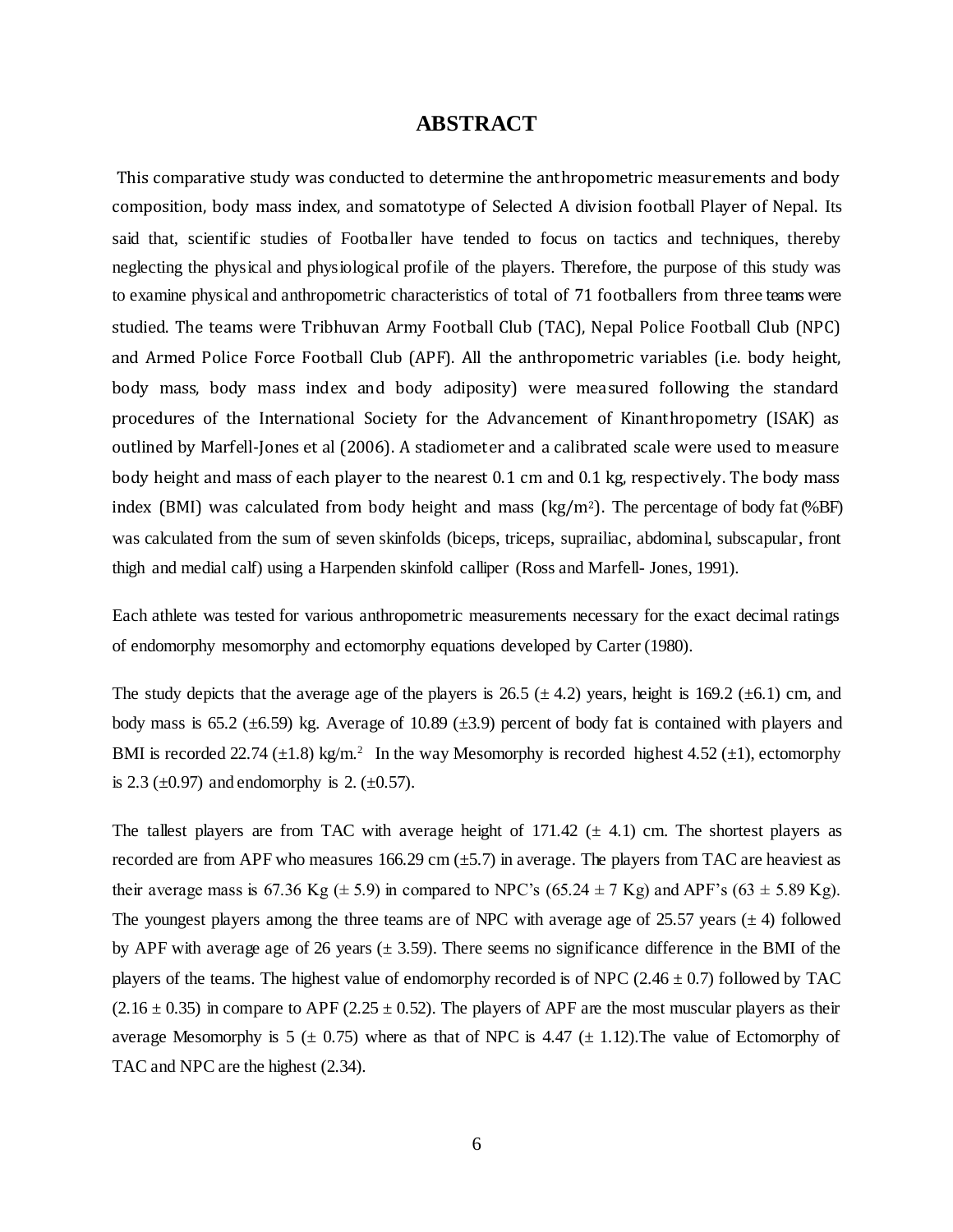## **ABSTRACT**

This comparative study was conducted to determine the anthropometric measurements and body composition, body mass index, and somatotype of Selected A division football Player of Nepal. Its said that, scientific studies of Footballer have tended to focus on tactics and techniques, thereby neglecting the physical and physiological profile of the players. Therefore, the purpose of this study was to examine physical and anthropometric characteristics of total of 71 footballers from three teams were studied. The teams were Tribhuvan Army Football Club (TAC), Nepal Police Football Club (NPC) and Armed Police Force Football Club (APF). All the anthropometric variables (i.e. body height, body mass, body mass index and body adiposity) were measured following the standard procedures of the International Society for the Advancement of Kinanthropometry (ISAK) as outlined by Marfell-Jones et al (2006). A stadiometer and a calibrated scale were used to measure body height and mass of each player to the nearest 0.1 cm and 0.1 kg, respectively. The body mass index (BMI) was calculated from body height and mass  $\text{kg/m²}$ ). The percentage of body fat (%BF) was calculated from the sum of seven skinfolds (biceps, triceps, suprailiac, abdominal, subscapular, front thigh and medial calf) using a Harpenden skinfold calliper (Ross and Marfell- Jones, 1991).

Each athlete was tested for various anthropometric measurements necessary for the exact decimal ratings of endomorphy mesomorphy and ectomorphy equations developed by Carter (1980).

The study depicts that the average age of the players is 26.5 ( $\pm$  4.2) years, height is 169.2 ( $\pm$ 6.1) cm, and body mass is  $65.2$  ( $\pm 6.59$ ) kg. Average of 10.89 ( $\pm 3.9$ ) percent of body fat is contained with players and BMI is recorded 22.74  $(\pm 1.8)$  kg/m.<sup>2</sup> In the way Mesomorphy is recorded highest 4.52  $(\pm 1)$ , ectomorphy is 2.3 ( $\pm$ 0.97) and endomorphy is 2. ( $\pm$ 0.57).

The tallest players are from TAC with average height of  $171.42 \ (\pm 4.1)$  cm. The shortest players as recorded are from APF who measures 166.29 cm  $(\pm 5.7)$  in average. The players from TAC are heaviest as their average mass is 67.36 Kg  $(\pm 5.9)$  in compared to NPC's (65.24  $\pm$  7 Kg) and APF's (63  $\pm$  5.89 Kg). The youngest players among the three teams are of NPC with average age of 25.57 years  $(\pm 4)$  followed by APF with average age of 26 years ( $\pm$  3.59). There seems no significance difference in the BMI of the players of the teams. The highest value of endomorphy recorded is of NPC  $(2.46 \pm 0.7)$  followed by TAC  $(2.16 \pm 0.35)$  in compare to APF (2.25  $\pm$  0.52). The players of APF are the most muscular players as their average Mesomorphy is 5 ( $\pm$  0.75) where as that of NPC is 4.47 ( $\pm$  1.12). The value of Ectomorphy of TAC and NPC are the highest (2.34).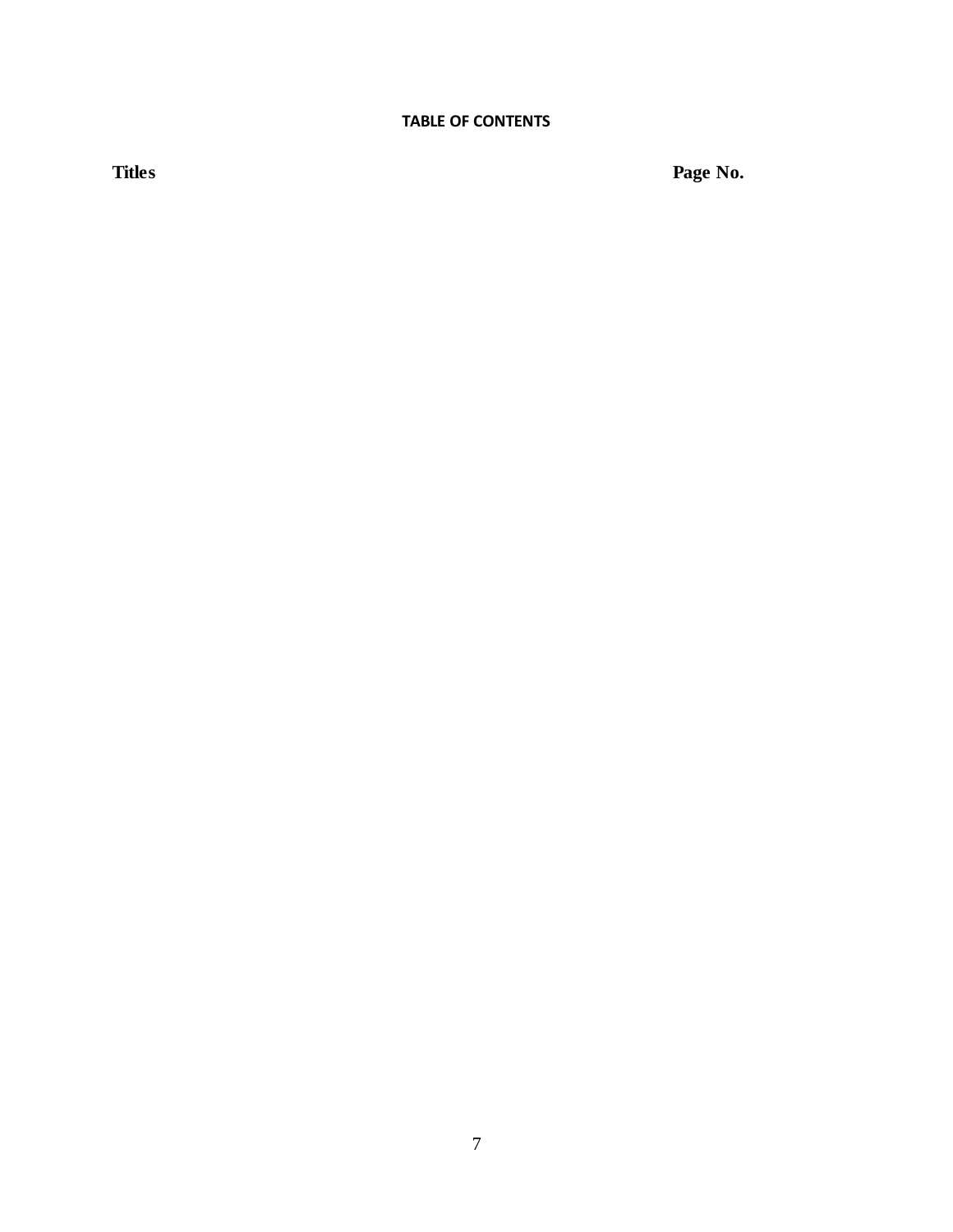## **TABLE OF CONTENTS**

**Titles Page No.**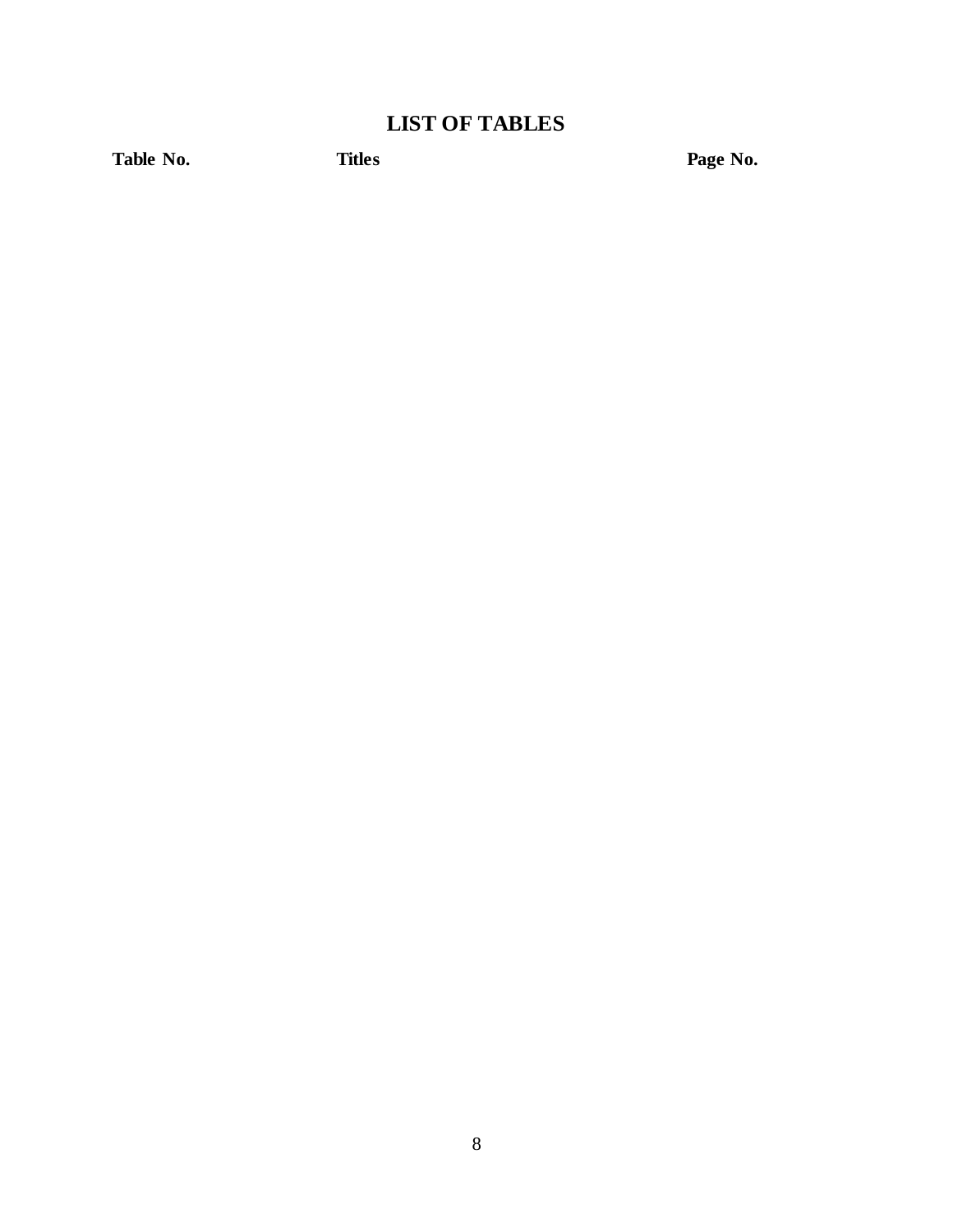# **LIST OF TABLES**

Table No. **Titles Page No. Page No.**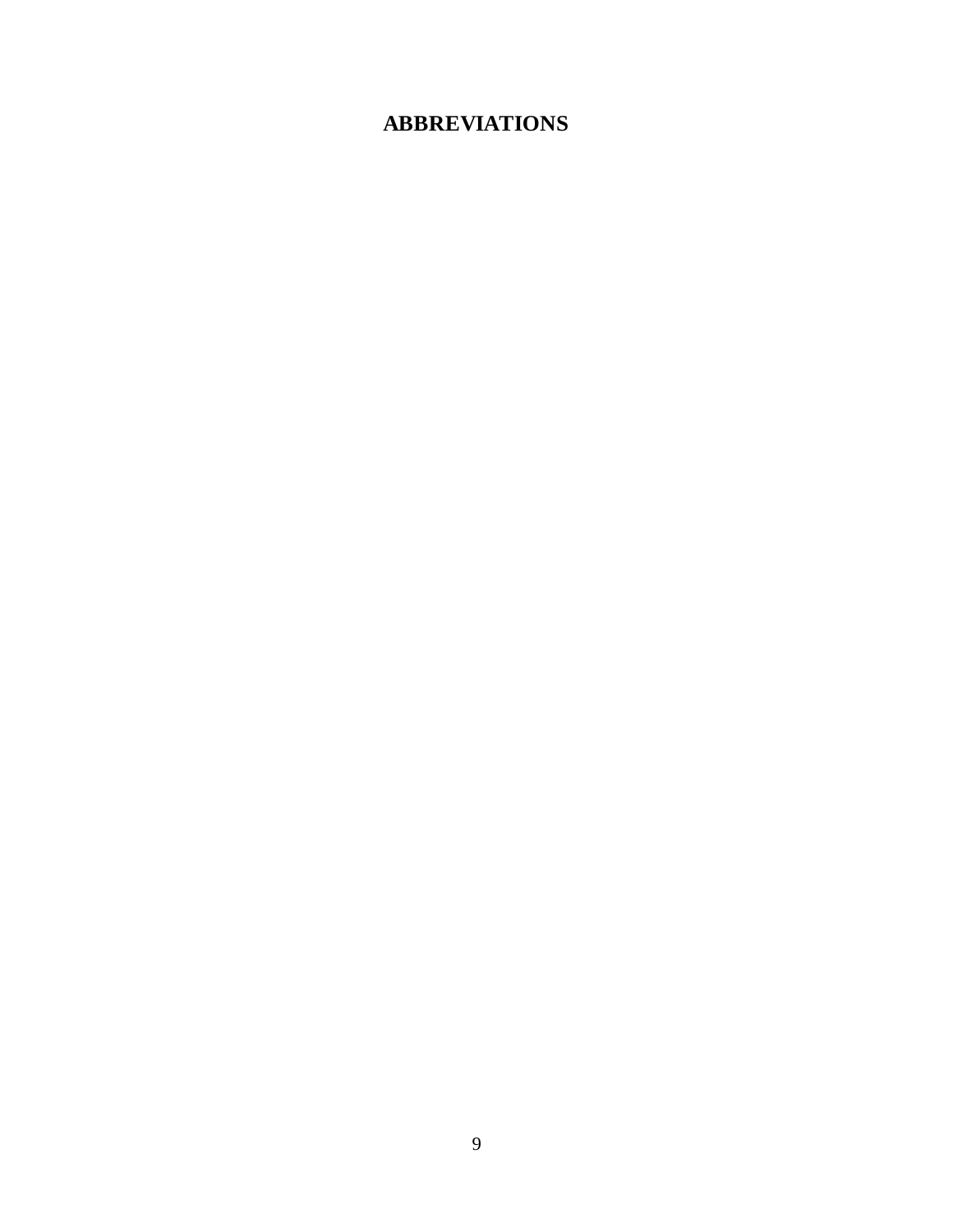# **ABBREVIATIONS**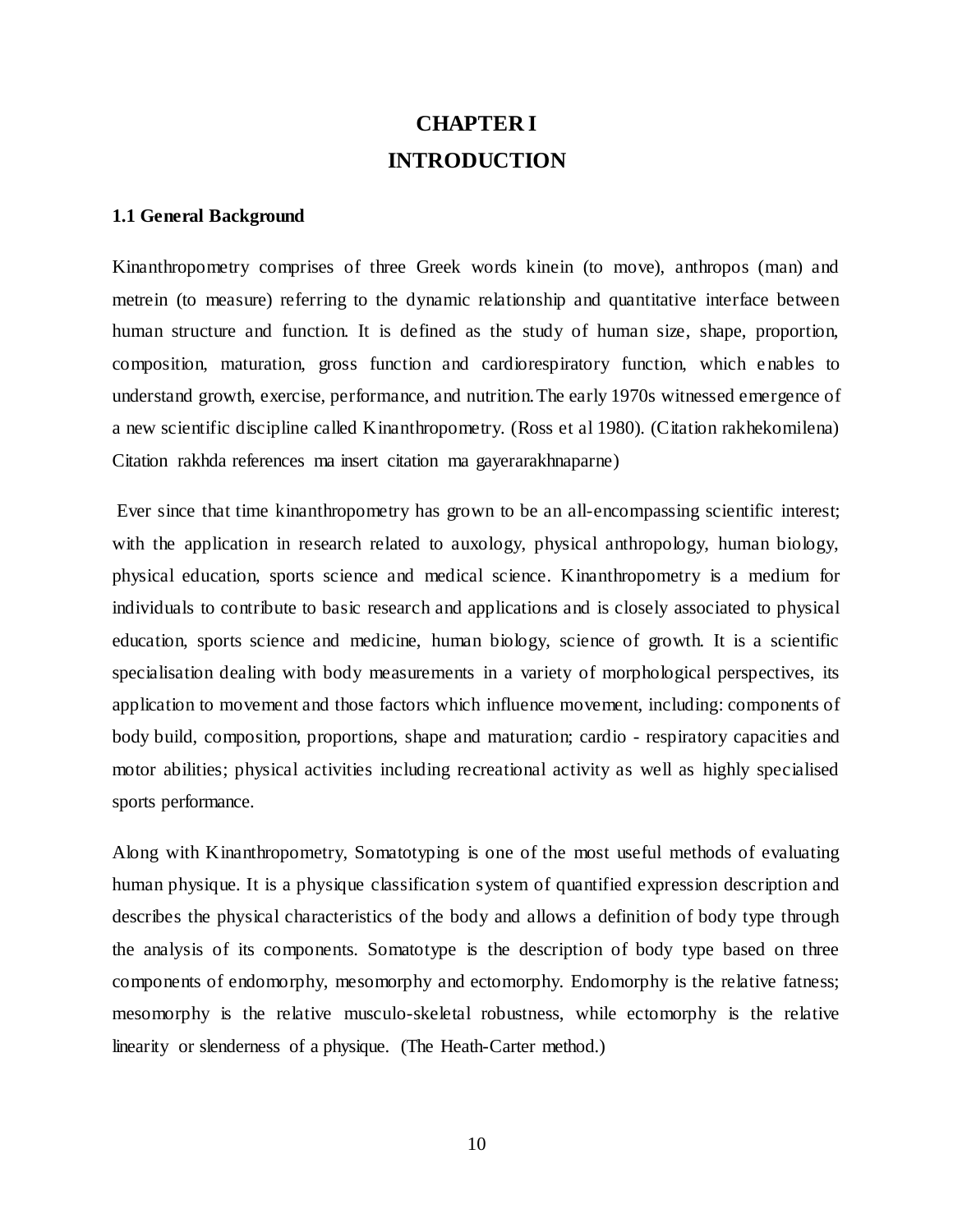# **CHAPTER I INTRODUCTION**

#### **1.1 General Background**

Kinanthropometry comprises of three Greek words kinein (to move), anthropos (man) and metrein (to measure) referring to the dynamic relationship and quantitative interface between human structure and function. It is defined as the study of human size, shape, proportion, composition, maturation, gross function and cardiorespiratory function, which e nables to understand growth, exercise, performance, and nutrition.The early 1970s witnessed emergence of a new scientific discipline called Kinanthropometry. (Ross et al 1980). (Citation rakhekomilena) Citation rakhda references ma insert citation ma gayerarakhnaparne)

Ever since that time kinanthropometry has grown to be an all-encompassing scientific interest; with the application in research related to auxology, physical anthropology, human biology, physical education, sports science and medical science. Kinanthropometry is a medium for individuals to contribute to basic research and applications and is closely associated to physical education, sports science and medicine, human biology, science of growth. It is a scientific specialisation dealing with body measurements in a variety of morphological perspectives, its application to movement and those factors which influence movement, including: components of body build, composition, proportions, shape and maturation; cardio - respiratory capacities and motor abilities; physical activities including recreational activity as well as highly specialised sports performance.

Along with Kinanthropometry, Somatotyping is one of the most useful methods of evaluating human physique. It is a physique classification system of quantified expression description and describes the physical characteristics of the body and allows a definition of body type through the analysis of its components. Somatotype is the description of body type based on three components of endomorphy, mesomorphy and ectomorphy. Endomorphy is the relative fatness; mesomorphy is the relative musculo-skeletal robustness, while ectomorphy is the relative linearity or slenderness of a physique. (The Heath-Carter method.)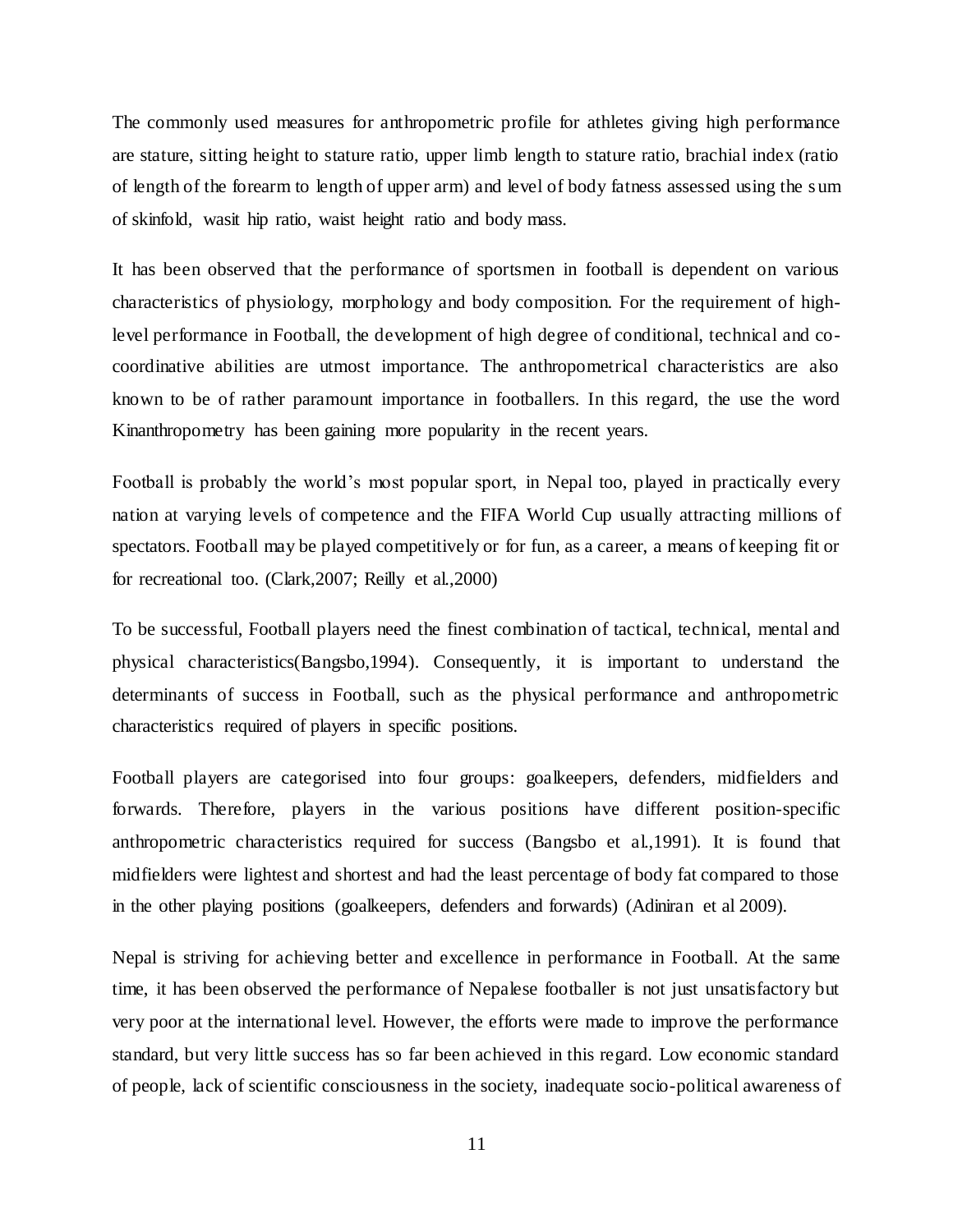The commonly used measures for anthropometric profile for athletes giving high performance are stature, sitting height to stature ratio, upper limb length to stature ratio, brachial index (ratio of length of the forearm to length of upper arm) and level of body fatness assessed using the s um of skinfold, wasit hip ratio, waist height ratio and body mass.

It has been observed that the performance of sportsmen in football is dependent on various characteristics of physiology, morphology and body composition. For the requirement of highlevel performance in Football, the development of high degree of conditional, technical and cocoordinative abilities are utmost importance. The anthropometrical characteristics are also known to be of rather paramount importance in footballers. In this regard, the use the word Kinanthropometry has been gaining more popularity in the recent years.

Football is probably the world's most popular sport, in Nepal too, played in practically every nation at varying levels of competence and the FIFA World Cup usually attracting millions of spectators. Football may be played competitively or for fun, as a career, a means of keeping fit or for recreational too. (Clark,2007; Reilly et al.,2000)

To be successful, Football players need the finest combination of tactical, technical, mental and physical characteristics(Bangsbo,1994). Consequently, it is important to understand the determinants of success in Football, such as the physical performance and anthropometric characteristics required of players in specific positions.

Football players are categorised into four groups: goalkeepers, defenders, midfielders and forwards. Therefore, players in the various positions have different position-specific anthropometric characteristics required for success (Bangsbo et al.,1991). It is found that midfielders were lightest and shortest and had the least percentage of body fat compared to those in the other playing positions (goalkeepers, defenders and forwards) (Adiniran et al 2009).

Nepal is striving for achieving better and excellence in performance in Football. At the same time, it has been observed the performance of Nepalese footballer is not just unsatisfactory but very poor at the international level. However, the efforts were made to improve the performance standard, but very little success has so far been achieved in this regard. Low economic standard of people, lack of scientific consciousness in the society, inadequate socio-political awareness of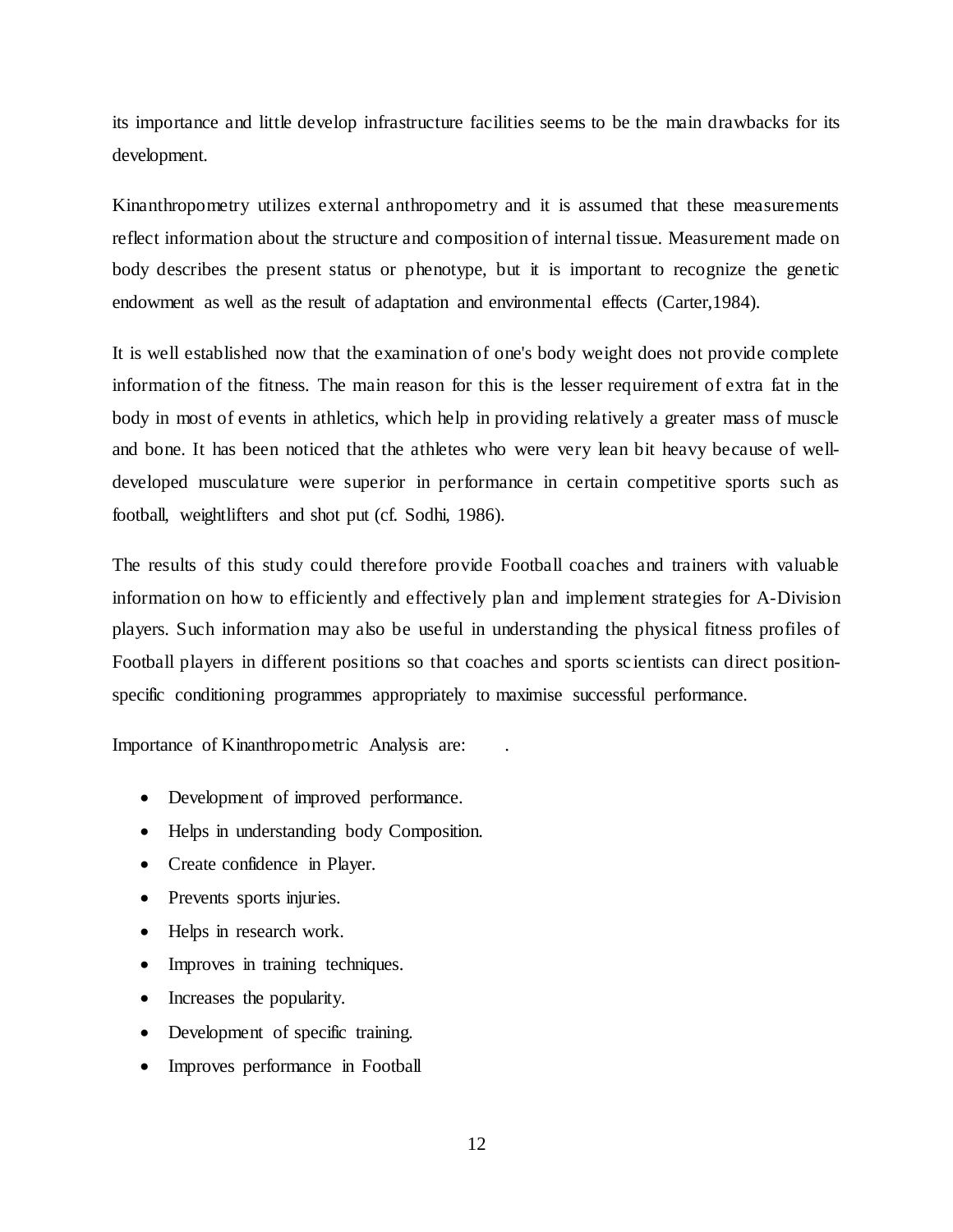its importance and little develop infrastructure facilities seems to be the main drawbacks for its development.

Kinanthropometry utilizes external anthropometry and it is assumed that these measurements reflect information about the structure and composition of internal tissue. Measurement made on body describes the present status or phenotype, but it is important to recognize the genetic endowment as well as the result of adaptation and environmental effects (Carter,1984).

It is well established now that the examination of one's body weight does not provide complete information of the fitness. The main reason for this is the lesser requirement of extra fat in the body in most of events in athletics, which help in providing relatively a greater mass of muscle and bone. It has been noticed that the athletes who were very lean bit heavy because of welldeveloped musculature were superior in performance in certain competitive sports such as football, weightlifters and shot put (cf. Sodhi, 1986).

The results of this study could therefore provide Football coaches and trainers with valuable information on how to efficiently and effectively plan and implement strategies for A-Division players. Such information may also be useful in understanding the physical fitness profiles of Football players in different positions so that coaches and sports sc ientists can direct positionspecific conditioning programmes appropriately to maximise successful performance.

Importance of Kinanthropometric Analysis are: .

- Development of improved performance.
- Helps in understanding body Composition.
- Create confidence in Player.
- Prevents sports injuries.
- Helps in research work.
- Improves in training techniques.
- Increases the popularity.
- Development of specific training.
- Improves performance in Football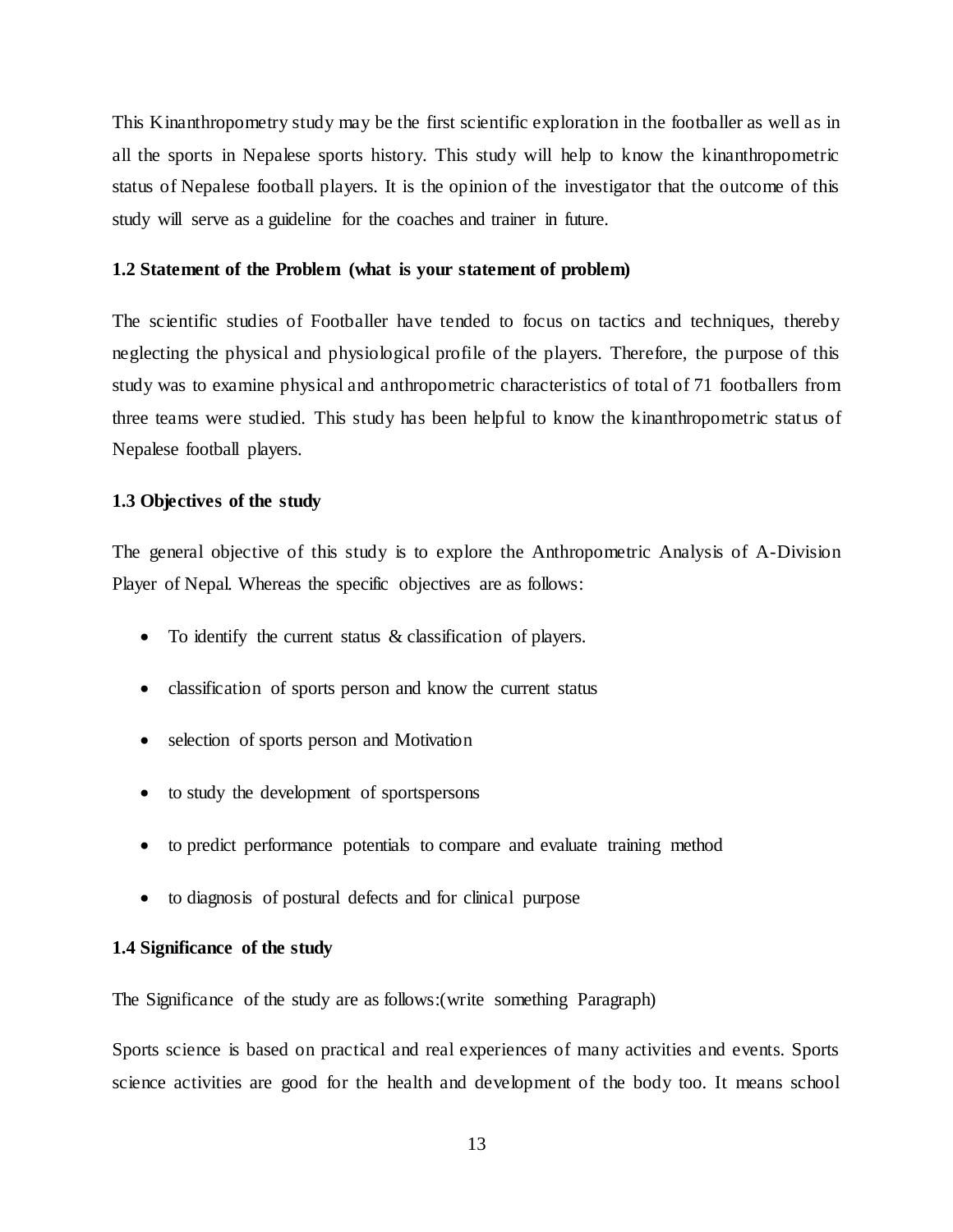This Kinanthropometry study may be the first scientific exploration in the footballer as well as in all the sports in Nepalese sports history. This study will help to know the kinanthropometric status of Nepalese football players. It is the opinion of the investigator that the outcome of this study will serve as a guideline for the coaches and trainer in future.

#### **1.2 Statement of the Problem (what is your statement of problem)**

The scientific studies of Footballer have tended to focus on tactics and techniques, thereby neglecting the physical and physiological profile of the players. Therefore, the purpose of this study was to examine physical and anthropometric characteristics of total of 71 footballers from three teams were studied. This study has been helpful to know the kinanthropometric status of Nepalese football players.

#### **1.3 Objectives of the study**

The general objective of this study is to explore the Anthropometric Analysis of A-Division Player of Nepal. Whereas the specific objectives are as follows:

- To identify the current status & classification of players.
- classification of sports person and know the current status
- selection of sports person and Motivation
- to study the development of sportspersons
- to predict performance potentials to compare and evaluate training method
- to diagnosis of postural defects and for clinical purpose

### **1.4 Significance of the study**

The Significance of the study are as follows:(write something Paragraph)

Sports science is based on practical and real experiences of many activities and events. Sports science activities are good for the health and development of the body too. It means school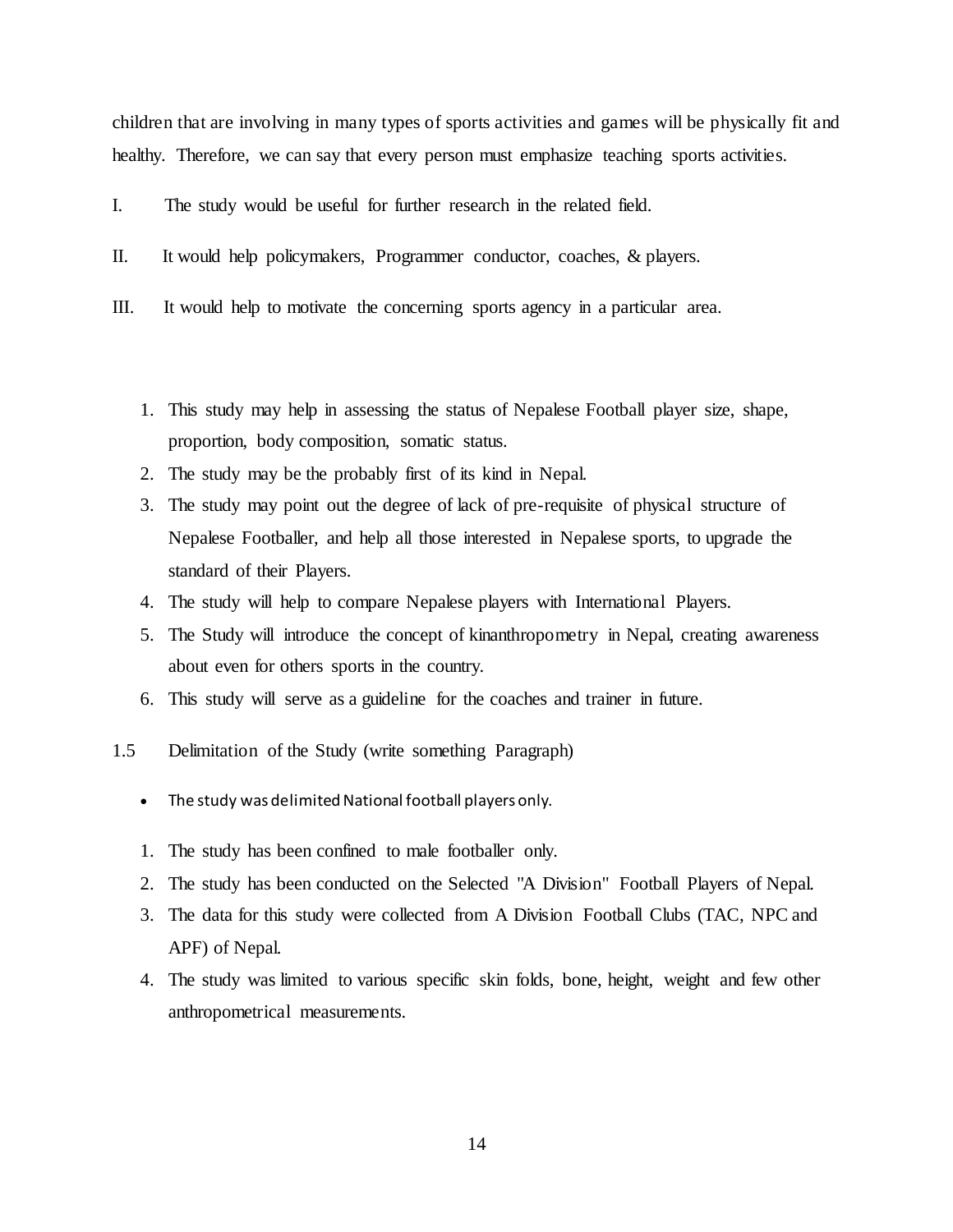children that are involving in many types of sports activities and games will be physically fit and healthy. Therefore, we can say that every person must emphasize teaching sports activities.

- I. The study would be useful for further research in the related field.
- II. It would help policymakers, Programmer conductor, coaches, & players.
- III. It would help to motivate the concerning sports agency in a particular area.
	- 1. This study may help in assessing the status of Nepalese Football player size, shape, proportion, body composition, somatic status.
	- 2. The study may be the probably first of its kind in Nepal.
	- 3. The study may point out the degree of lack of pre-requisite of physical structure of Nepalese Footballer, and help all those interested in Nepalese sports, to upgrade the standard of their Players.
	- 4. The study will help to compare Nepalese players with International Players.
	- 5. The Study will introduce the concept of kinanthropometry in Nepal, creating awareness about even for others sports in the country.
	- 6. This study will serve as a guideline for the coaches and trainer in future.
- 1.5 Delimitation of the Study (write something Paragraph)
	- The study was delimited National football players only.
	- 1. The study has been confined to male footballer only.
	- 2. The study has been conducted on the Selected "A Division" Football Players of Nepal.
	- 3. The data for this study were collected from A Division Football Clubs (TAC, NPC and APF) of Nepal.
	- 4. The study was limited to various specific skin folds, bone, height, weight and few other anthropometrical measurements.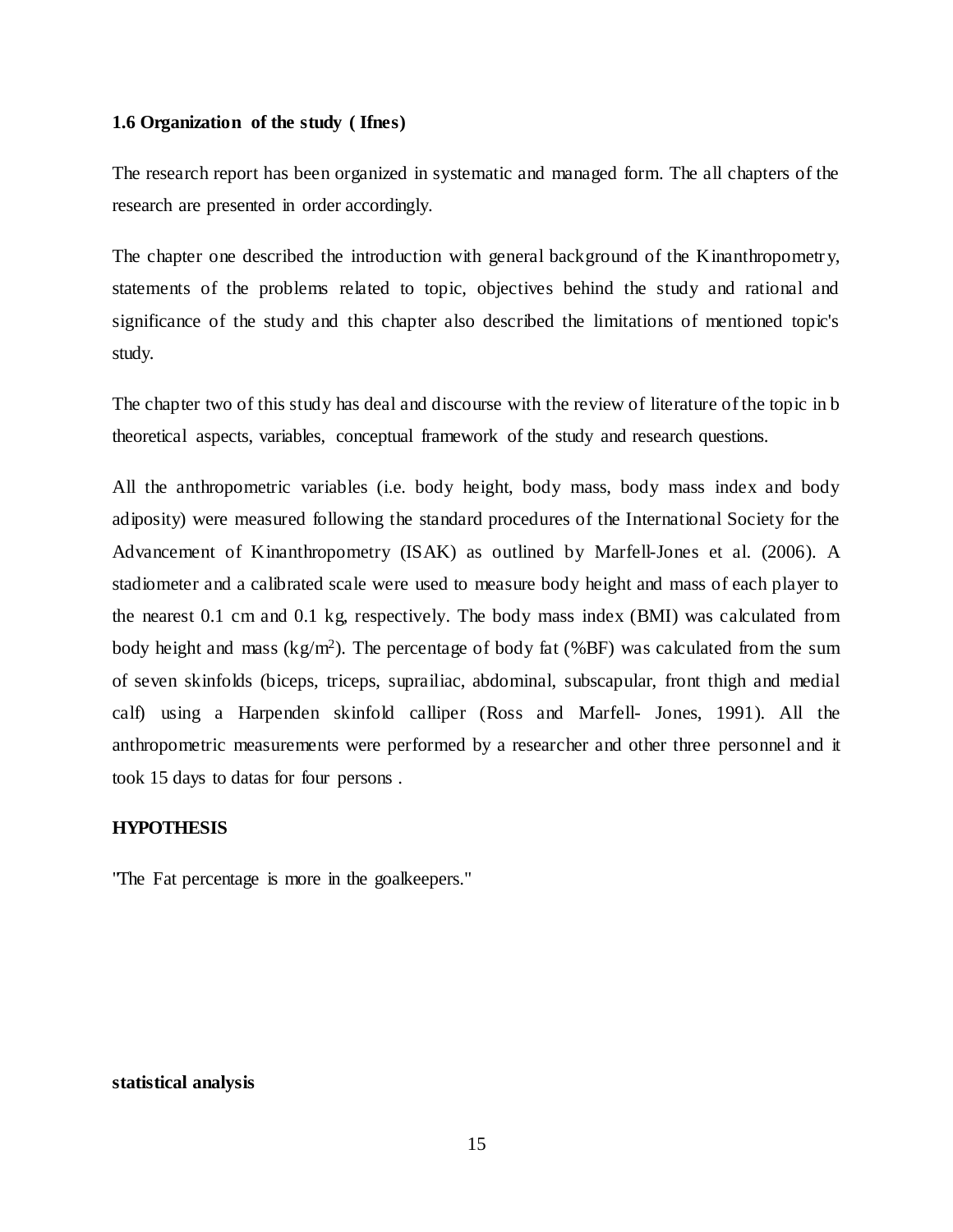#### **1.6 Organization of the study ( Ifnes)**

The research report has been organized in systematic and managed form. The all chapters of the research are presented in order accordingly.

The chapter one described the introduction with general background of the Kinanthropometry, statements of the problems related to topic, objectives behind the study and rational and significance of the study and this chapter also described the limitations of mentioned topic's study.

The chapter two of this study has deal and discourse with the review of literature of the topic in b theoretical aspects, variables, conceptual framework of the study and research questions.

All the anthropometric variables (i.e. body height, body mass, body mass index and body adiposity) were measured following the standard procedures of the International Society for the Advancement of Kinanthropometry (ISAK) as outlined by Marfell-Jones et al. (2006). A stadiometer and a calibrated scale were used to measure body height and mass of each player to the nearest 0.1 cm and 0.1 kg, respectively. The body mass index (BMI) was calculated from body height and mass  $(kg/m^2)$ . The percentage of body fat (%BF) was calculated from the sum of seven skinfolds (biceps, triceps, suprailiac, abdominal, subscapular, front thigh and medial calf) using a Harpenden skinfold calliper (Ross and Marfell- Jones, 1991). All the anthropometric measurements were performed by a researcher and other three personnel and it took 15 days to datas for four persons .

#### **HYPOTHESIS**

"The Fat percentage is more in the goalkeepers."

#### **statistical analysis**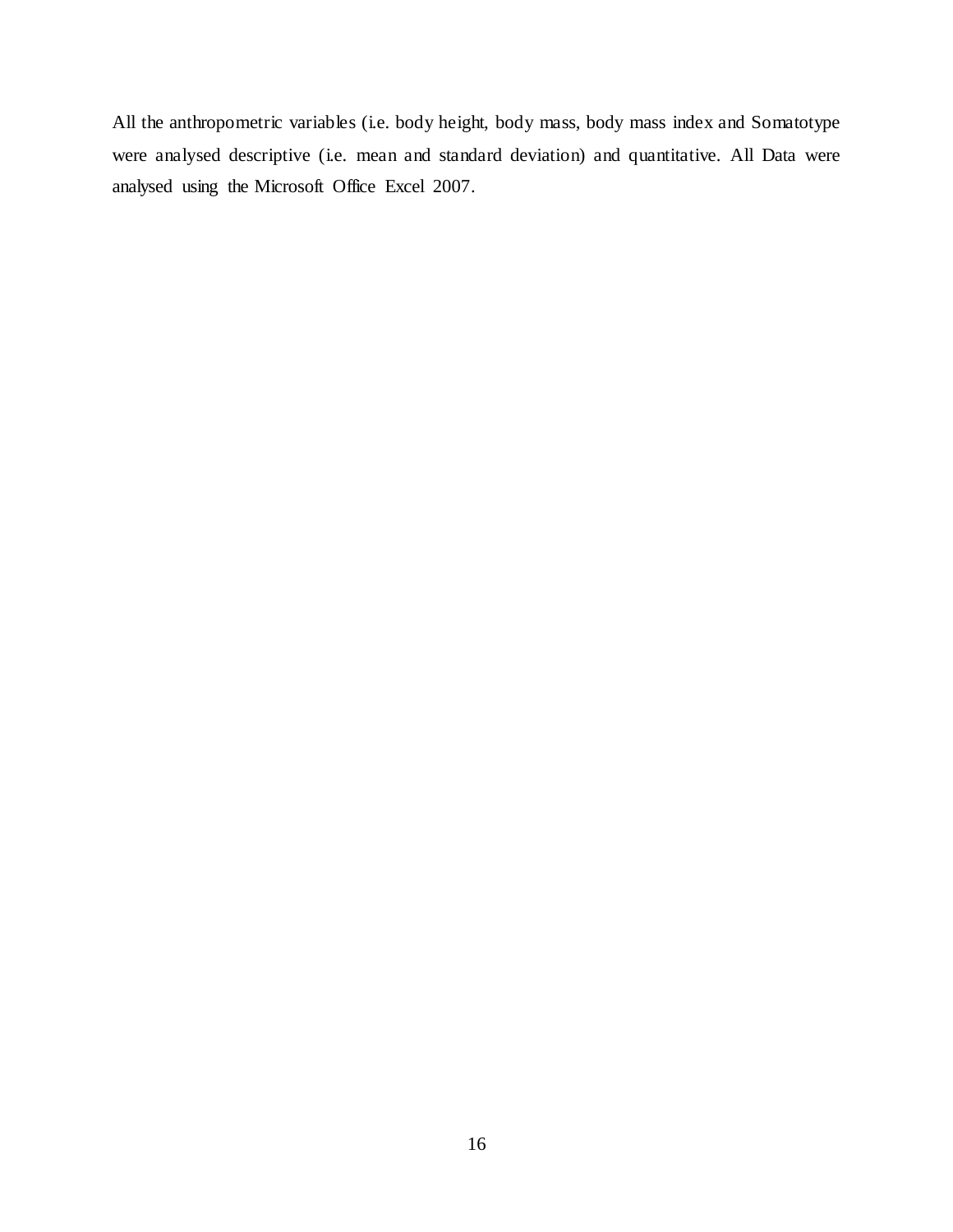All the anthropometric variables (i.e. body height, body mass, body mass index and Somatotype were analysed descriptive (i.e. mean and standard deviation) and quantitative. All Data were analysed using the Microsoft Office Excel 2007.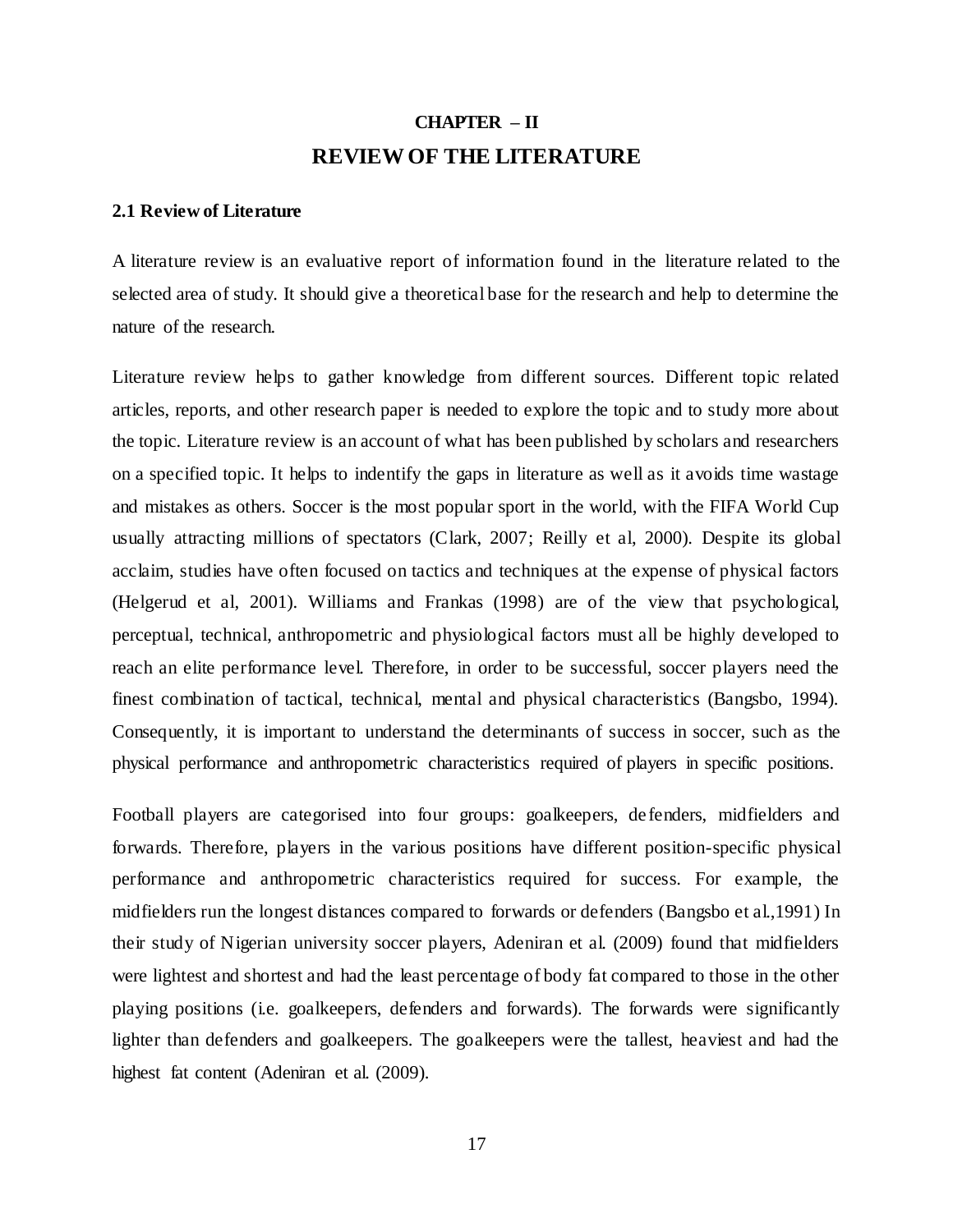## **CHAPTER – II REVIEW OF THE LITERATURE**

#### **2.1 Review of Literature**

A literature review is an evaluative report of information found in the literature related to the selected area of study. It should give a theoretical base for the research and help to determine the nature of the research.

Literature review helps to gather knowledge from different sources. Different topic related articles, reports, and other research paper is needed to explore the topic and to study more about the topic. Literature review is an account of what has been published by scholars and researchers on a specified topic. It helps to indentify the gaps in literature as well as it avoids time wastage and mistakes as others. Soccer is the most popular sport in the world, with the FIFA World Cup usually attracting millions of spectators (Clark, 2007; Reilly et al, 2000). Despite its global acclaim, studies have often focused on tactics and techniques at the expense of physical factors (Helgerud et al, 2001). Williams and Frankas (1998) are of the view that psychological, perceptual, technical, anthropometric and physiological factors must all be highly developed to reach an elite performance level. Therefore, in order to be successful, soccer players need the finest combination of tactical, technical, mental and physical characteristics (Bangsbo, 1994). Consequently, it is important to understand the determinants of success in soccer, such as the physical performance and anthropometric characteristics required of players in specific positions.

Football players are categorised into four groups: goalkeepers, de fenders, midfielders and forwards. Therefore, players in the various positions have different position-specific physical performance and anthropometric characteristics required for success. For example, the midfielders run the longest distances compared to forwards or defenders (Bangsbo et al.,1991) In their study of Nigerian university soccer players, Adeniran et al. (2009) found that midfielders were lightest and shortest and had the least percentage of body fat compared to those in the other playing positions (i.e. goalkeepers, defenders and forwards). The forwards were significantly lighter than defenders and goalkeepers. The goalkeepers were the tallest, heaviest and had the highest fat content (Adeniran et al. (2009).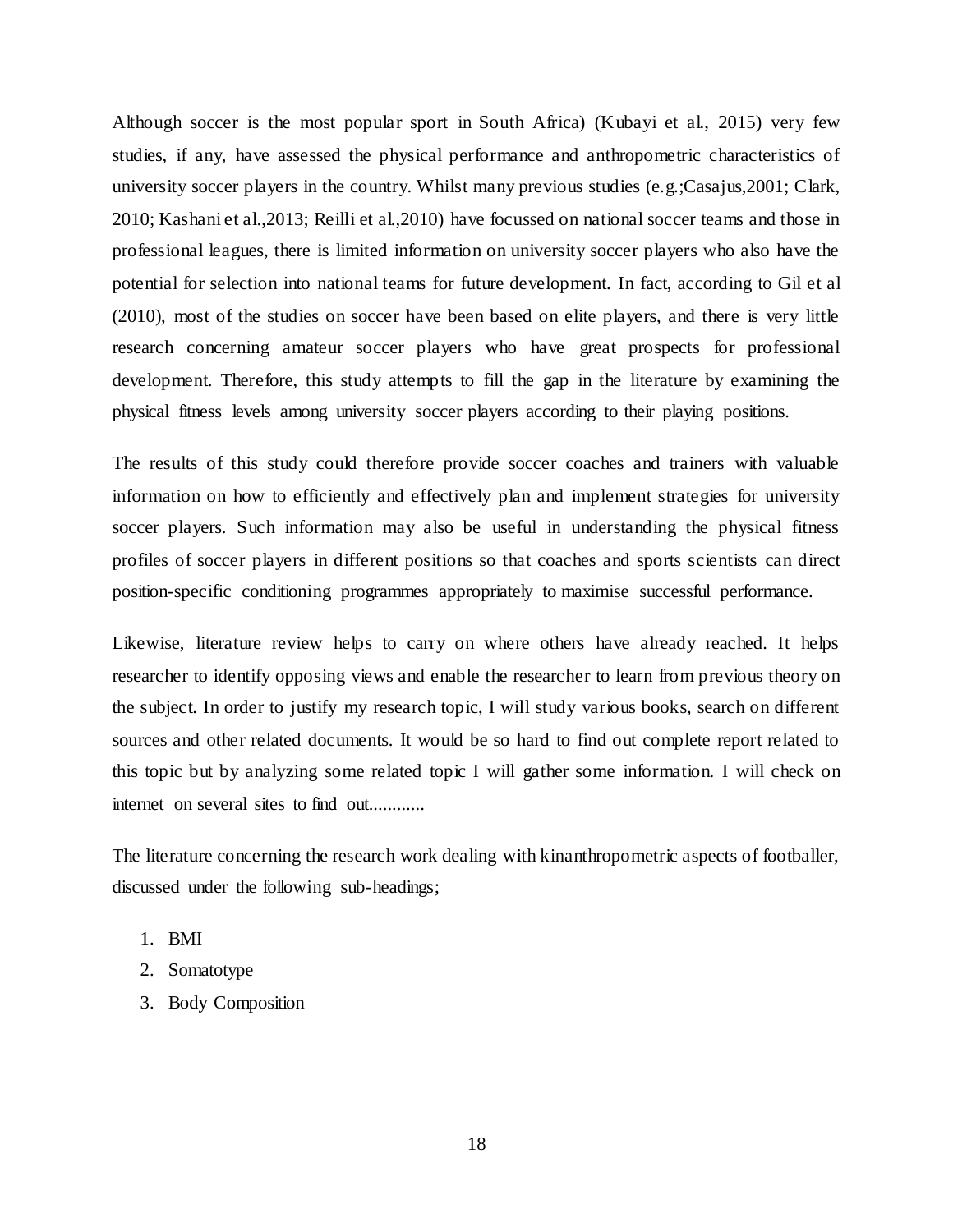Although soccer is the most popular sport in South Africa) (Kubayi et al., 2015) very few studies, if any, have assessed the physical performance and anthropometric characteristics of university soccer players in the country. Whilst many previous studies (e.g.;Casajus,2001; Clark, 2010; Kashani et al.,2013; Reilli et al.,2010) have focussed on national soccer teams and those in professional leagues, there is limited information on university soccer players who also have the potential for selection into national teams for future development. In fact, according to Gil et al (2010), most of the studies on soccer have been based on elite players, and there is very little research concerning amateur soccer players who have great prospects for professional development. Therefore, this study attempts to fill the gap in the literature by examining the physical fitness levels among university soccer players according to their playing positions.

The results of this study could therefore provide soccer coaches and trainers with valuable information on how to efficiently and effectively plan and implement strategies for university soccer players. Such information may also be useful in understanding the physical fitness profiles of soccer players in different positions so that coaches and sports scientists can direct position-specific conditioning programmes appropriately to maximise successful performance.

Likewise, literature review helps to carry on where others have already reached. It helps researcher to identify opposing views and enable the researcher to learn from previous theory on the subject. In order to justify my research topic, I will study various books, search on different sources and other related documents. It would be so hard to find out complete report related to this topic but by analyzing some related topic I will gather some information. I will check on internet on several sites to find out.............

The literature concerning the research work dealing with kinanthropometric aspects of footballer, discussed under the following sub-headings;

- 1. BMI
- 2. Somatotype
- 3. Body Composition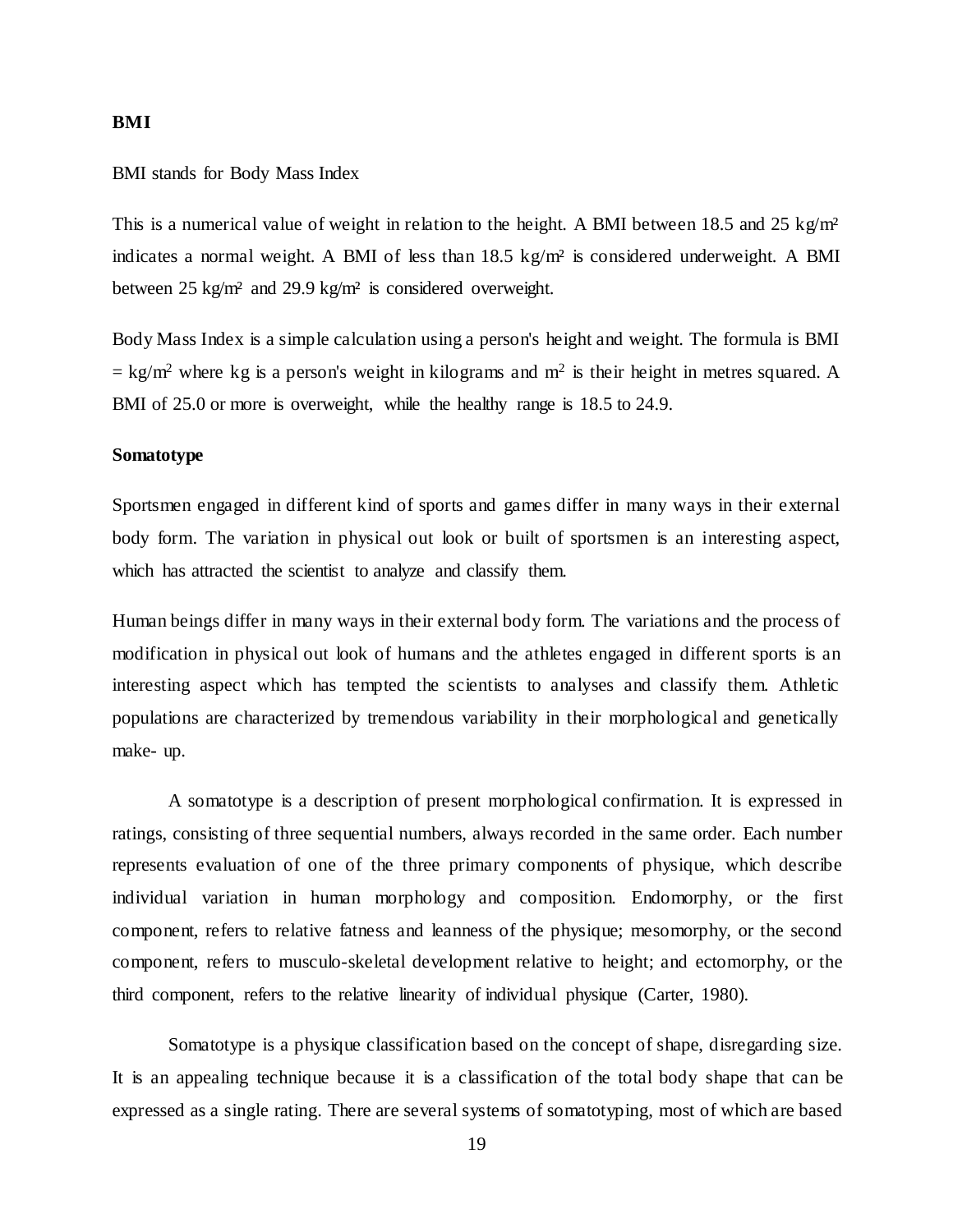#### **BMI**

#### BMI stands for Body Mass Index

This is a numerical value of weight in relation to the height. A BMI between 18.5 and 25 kg/m<sup>2</sup> indicates a normal weight. A BMI of less than 18.5 kg/m² is considered underweight. A BMI between 25 kg/m² and 29.9 kg/m² is considered overweight.

Body Mass Index is a simple calculation using a person's height and weight. The formula is BMI  $=$  kg/m<sup>2</sup> where kg is a person's weight in kilograms and m<sup>2</sup> is their height in metres squared. A BMI of 25.0 or more is overweight, while the healthy range is 18.5 to 24.9.

#### **Somatotype**

Sportsmen engaged in different kind of sports and games differ in many ways in their external body form. The variation in physical out look or built of sportsmen is an interesting aspect, which has attracted the scientist to analyze and classify them.

Human beings differ in many ways in their external body form. The variations and the process of modification in physical out look of humans and the athletes engaged in different sports is an interesting aspect which has tempted the scientists to analyses and classify them. Athletic populations are characterized by tremendous variability in their morphological and genetically make- up.

A somatotype is a description of present morphological confirmation. It is expressed in ratings, consisting of three sequential numbers, always recorded in the same order. Each number represents evaluation of one of the three primary components of physique, which describe individual variation in human morphology and composition. Endomorphy, or the first component, refers to relative fatness and leanness of the physique; mesomorphy, or the second component, refers to musculo-skeletal development relative to height; and ectomorphy, or the third component, refers to the relative linearity of individual physique (Carter, 1980).

Somatotype is a physique classification based on the concept of shape, disregarding size. It is an appealing technique because it is a classification of the total body shape that can be expressed as a single rating. There are several systems of somatotyping, most of which are based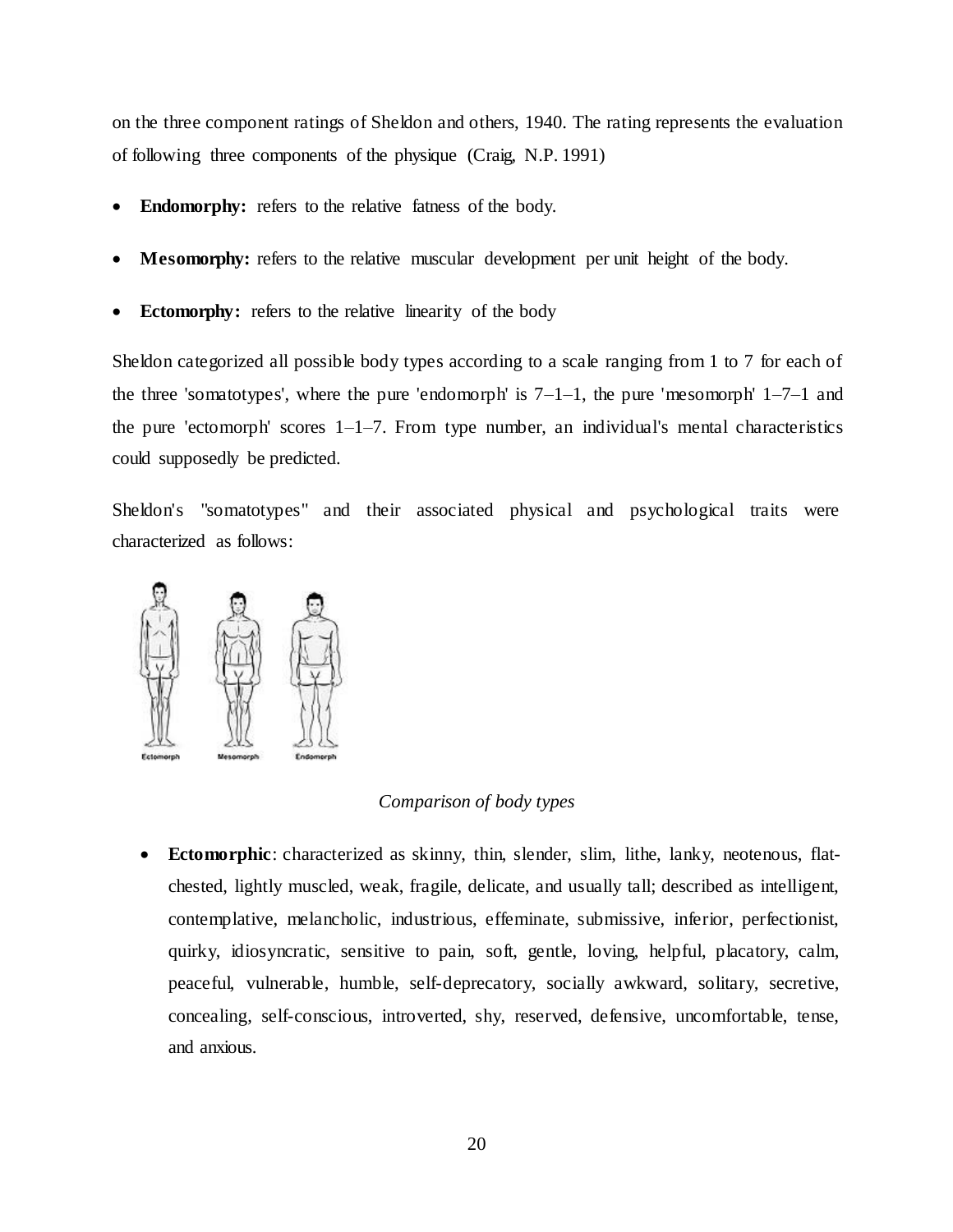on the three component ratings of Sheldon and others, 1940. The rating represents the evaluation of following three components of the physique (Craig, N.P. 1991)

- **Endomorphy:** refers to the relative fatness of the body.
- **Mesomorphy:** refers to the relative muscular development per unit height of the body.
- **Ectomorphy:** refers to the relative linearity of the body

Sheldon categorized all possible body types according to a scale ranging from 1 to 7 for each of the three 'somatotypes', where the pure 'endomorph' is  $7-1-1$ , the pure 'mesomorph'  $1-7-1$  and the pure 'ectomorph' scores  $1-1-7$ . From type number, an individual's mental characteristics could supposedly be predicted.

Sheldon's "somatotypes" and their associated physical and psychological traits were characterized as follows:



#### *Comparison of body types*

 **Ectomorphic**: characterized as skinny, thin, slender, slim, lithe, lanky, neotenous, flatchested, lightly muscled, weak, fragile, delicate, and usually tall; described as intelligent, contemplative, melancholic, industrious, effeminate, submissive, inferior, perfectionist, quirky, idiosyncratic, sensitive to pain, soft, gentle, loving, helpful, placatory, calm, peaceful, vulnerable, humble, self-deprecatory, socially awkward, solitary, secretive, concealing, self-conscious, introverted, shy, reserved, defensive, uncomfortable, tense, and anxious.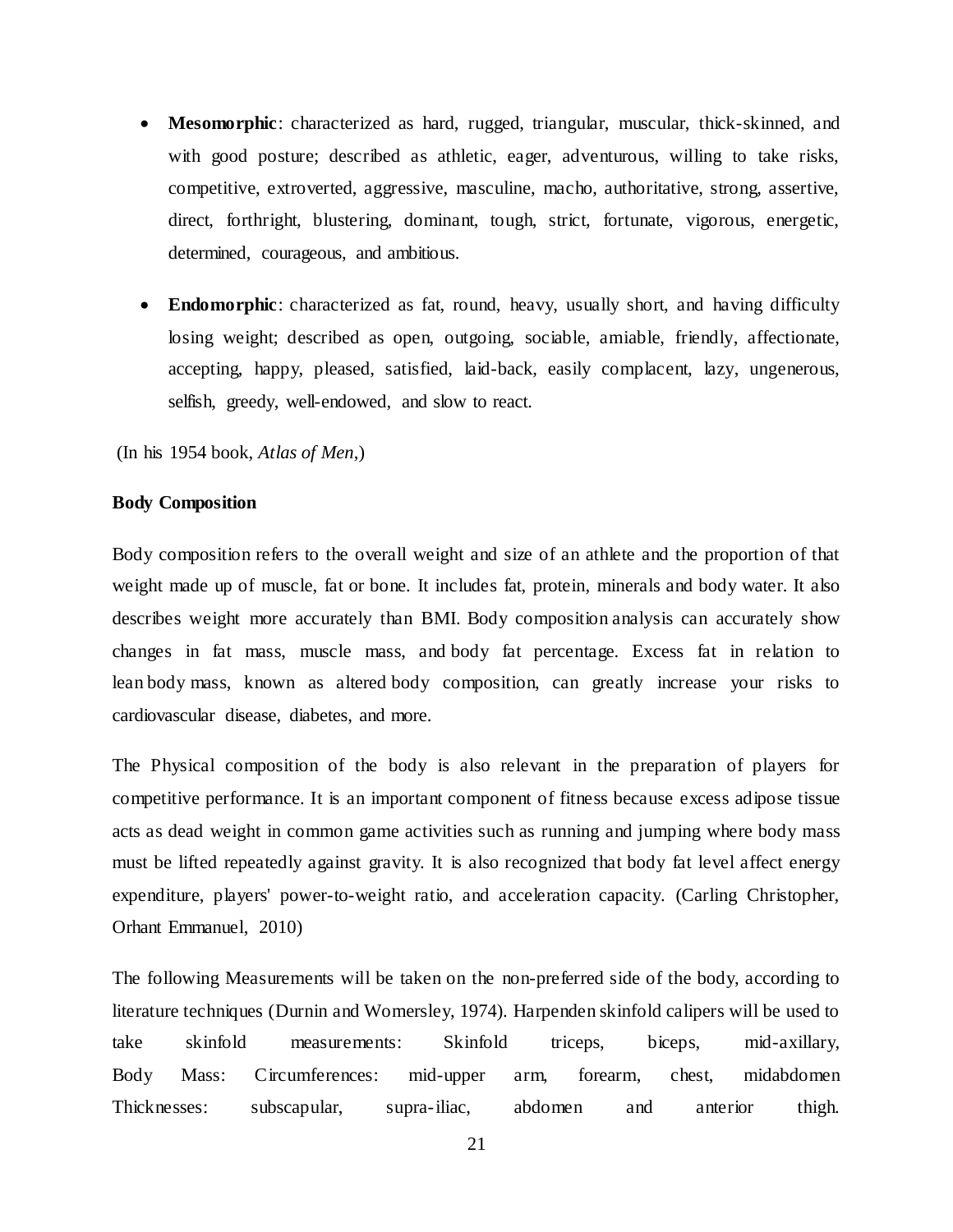- **Mesomorphic**: characterized as hard, rugged, triangular, muscular, thick-skinned, and with good posture; described as athletic, eager, adventurous, willing to take risks, competitive, extroverted, aggressive, masculine, macho, authoritative, strong, assertive, direct, forthright, blustering, dominant, tough, strict, fortunate, vigorous, energetic, determined, courageous, and ambitious.
- **Endomorphic**: characterized as fat, round, heavy, usually short, and having difficulty losing weight; described as open, outgoing, sociable, amiable, friendly, affectionate, accepting, happy, pleased, satisfied, laid-back, easily complacent, lazy, ungenerous, selfish, greedy, well-endowed, and slow to react.

(In his 1954 book, *Atlas of Men*,)

#### **Body Composition**

Body composition refers to the overall weight and size of an athlete and the proportion of that weight made up of muscle, fat or bone. It includes fat, protein, minerals and body water. It also describes weight more accurately than BMI. Body composition analysis can accurately show changes in fat mass, muscle mass, and body fat percentage. Excess fat in relation to lean body mass, known as altered body composition, can greatly increase your risks to cardiovascular disease, diabetes, and more.

The Physical composition of the body is also relevant in the preparation of players for competitive performance. It is an important component of fitness because excess adipose tissue acts as dead weight in common game activities such as running and jumping where body mass must be lifted repeatedly against gravity. It is also recognized that body fat level affect energy expenditure, players' power-to-weight ratio, and acceleration capacity. (Carling Christopher, Orhant Emmanuel, 2010)

The following Measurements will be taken on the non-preferred side of the body, according to literature techniques (Durnin and Womersley, 1974). Harpenden skinfold calipers will be used to take skinfold measurements: Skinfold triceps, biceps, mid-axillary, Body Mass: Circumferences: mid-upper arm, forearm, chest, midabdomen Thicknesses: subscapular, supra-iliac, abdomen and anterior thigh.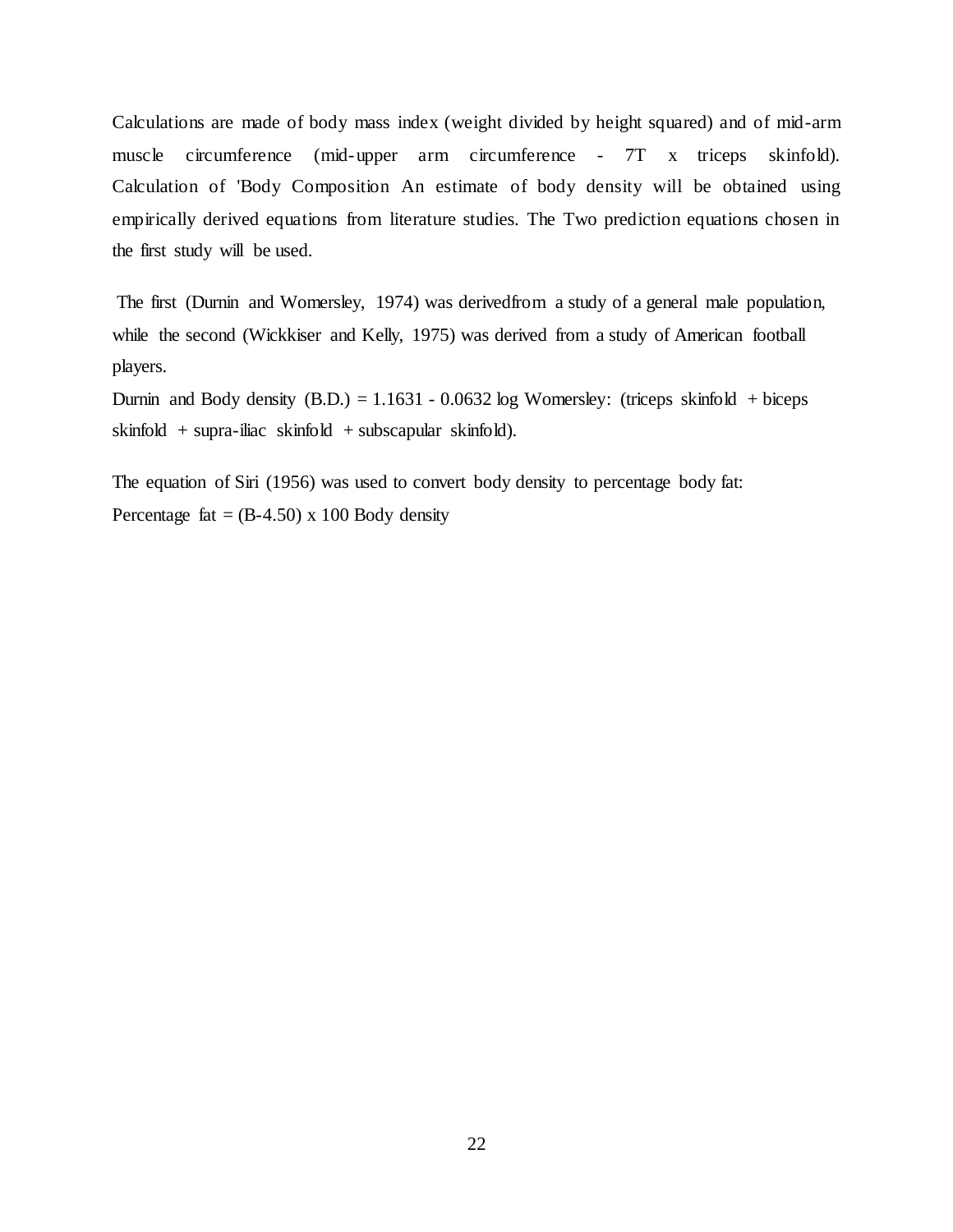Calculations are made of body mass index (weight divided by height squared) and of mid-arm muscle circumference (mid-upper arm circumference - 7T x triceps skinfold). Calculation of 'Body Composition An estimate of body density will be obtained using empirically derived equations from literature studies. The Two prediction equations chosen in the first study will be used.

The first (Durnin and Womersley, 1974) was derivedfrom a study of a general male population, while the second (Wickkiser and Kelly, 1975) was derived from a study of American football players.

Durnin and Body density  $(B.D.) = 1.1631 - 0.0632 \log$  Womersley: (triceps skinfold + biceps skinfold + supra-iliac skinfold + subscapular skinfold).

The equation of Siri (1956) was used to convert body density to percentage body fat: Percentage fat  $=$  (B-4.50) x 100 Body density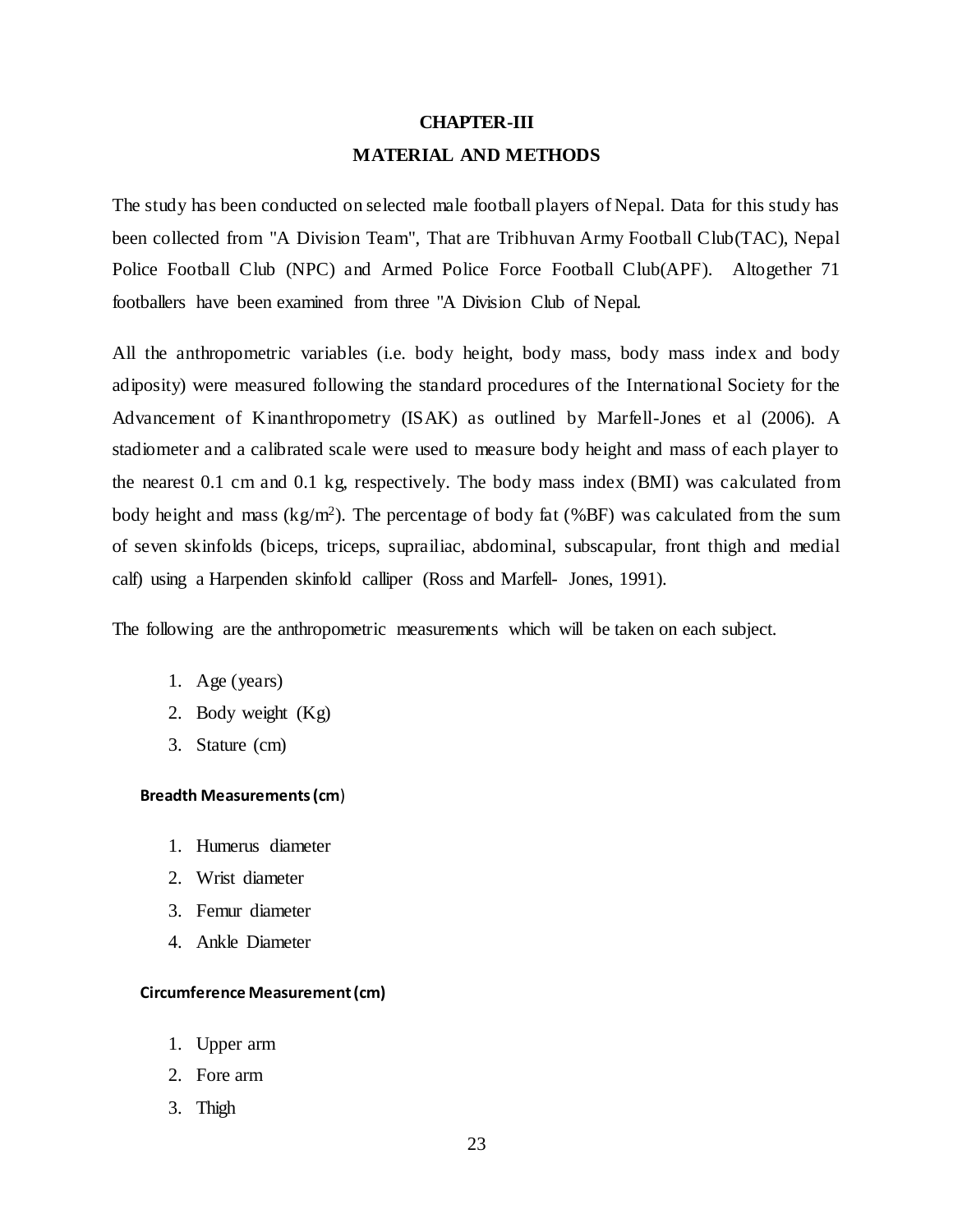# **CHAPTER-III MATERIAL AND METHODS**

The study has been conducted on selected male football players of Nepal. Data for this study has been collected from "A Division Team", That are Tribhuvan Army Football Club(TAC), Nepal Police Football Club (NPC) and Armed Police Force Football Club(APF). Altogether 71 footballers have been examined from three "A Division Club of Nepal.

All the anthropometric variables (i.e. body height, body mass, body mass index and body adiposity) were measured following the standard procedures of the International Society for the Advancement of Kinanthropometry (ISAK) as outlined by Marfell-Jones et al (2006). A stadiometer and a calibrated scale were used to measure body height and mass of each player to the nearest 0.1 cm and 0.1 kg, respectively. The body mass index (BMI) was calculated from body height and mass  $(kg/m^2)$ . The percentage of body fat (%BF) was calculated from the sum of seven skinfolds (biceps, triceps, suprailiac, abdominal, subscapular, front thigh and medial calf) using a Harpenden skinfold calliper (Ross and Marfell- Jones, 1991).

The following are the anthropometric measurements which will be taken on each subject.

- 1. Age (years)
- 2. Body weight (Kg)
- 3. Stature (cm)

#### **Breadth Measurements (cm**)

- 1. Humerus diameter
- 2. Wrist diameter
- 3. Femur diameter
- 4. Ankle Diameter

#### **Circumference Measurement (cm)**

- 1. Upper arm
- 2. Fore arm
- 3. Thigh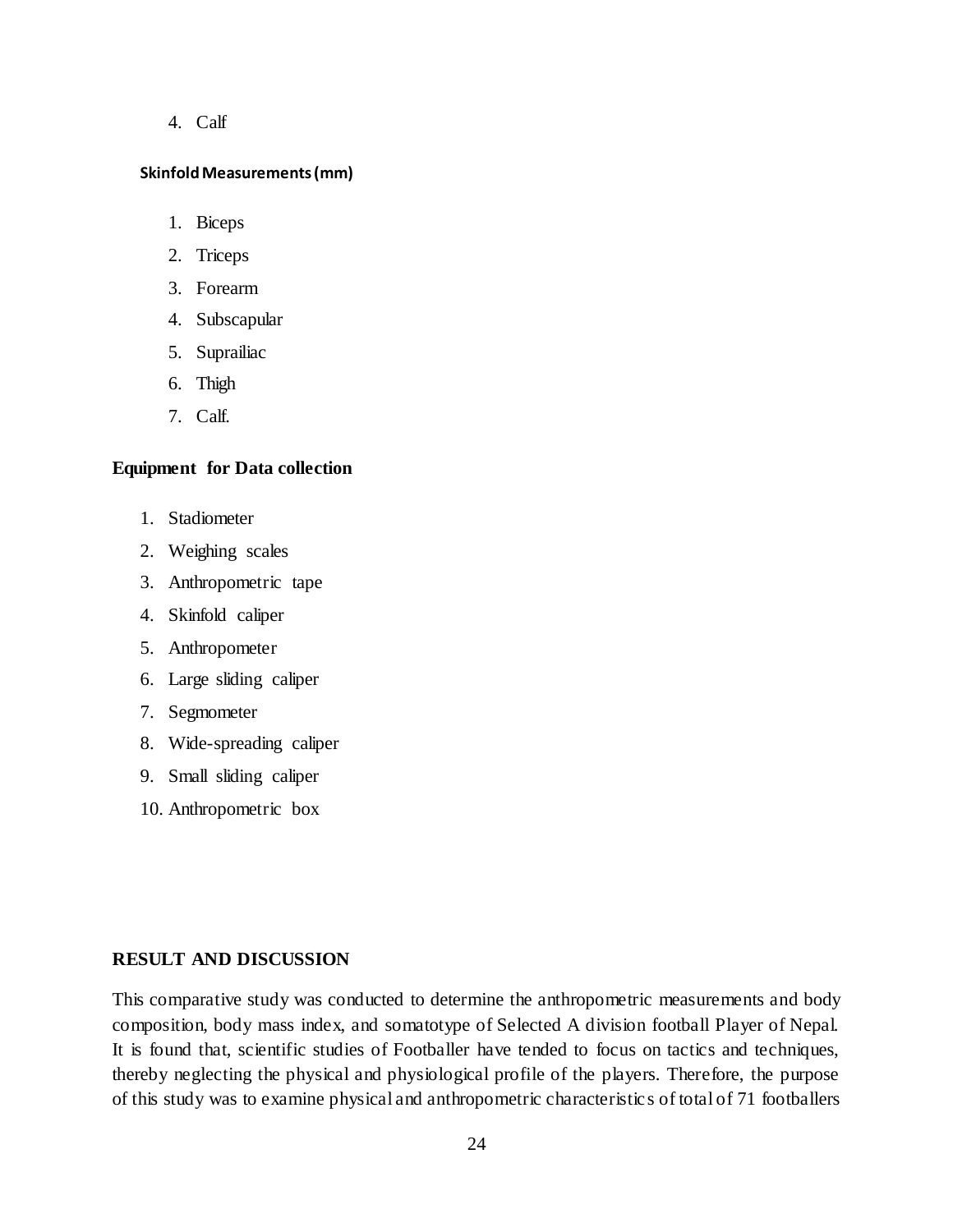4. Calf

#### **Skinfold Measurements (mm)**

- 1. Biceps
- 2. Triceps
- 3. Forearm
- 4. Subscapular
- 5. Suprailiac
- 6. Thigh
- 7. Calf.

#### **Equipment for Data collection**

- 1. Stadiometer
- 2. Weighing scales
- 3. Anthropometric tape
- 4. Skinfold caliper
- 5. Anthropometer
- 6. Large sliding caliper
- 7. Segmometer
- 8. Wide-spreading caliper
- 9. Small sliding caliper
- 10. Anthropometric box

#### **RESULT AND DISCUSSION**

This comparative study was conducted to determine the anthropometric measurements and body composition, body mass index, and somatotype of Selected A division football Player of Nepal. It is found that, scientific studies of Footballer have tended to focus on tactics and techniques, thereby neglecting the physical and physiological profile of the players. Therefore, the purpose of this study was to examine physical and anthropometric characteristic s of total of 71 footballers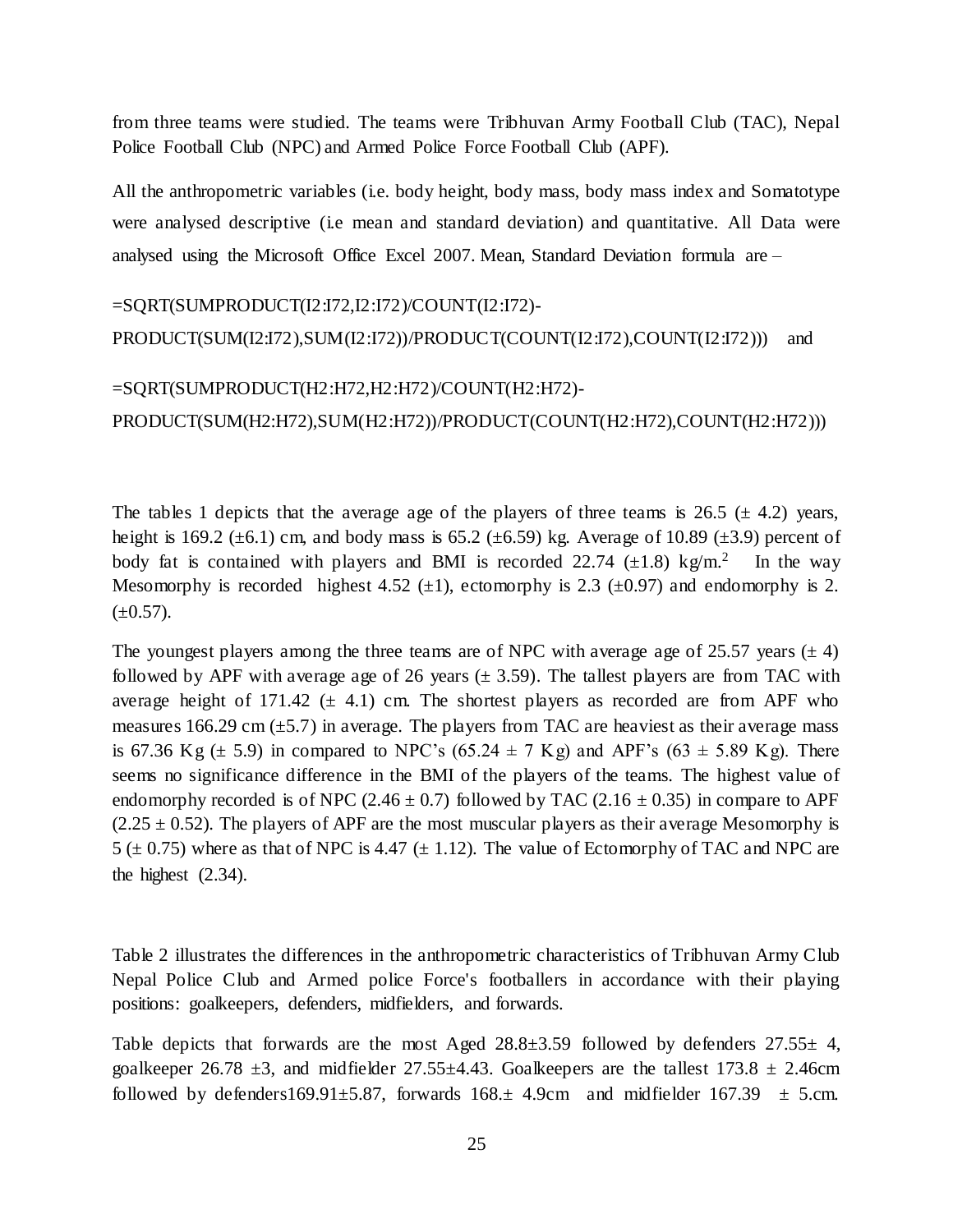from three teams were studied. The teams were Tribhuvan Army Football Club (TAC), Nepal Police Football Club (NPC) and Armed Police Force Football Club (APF).

All the anthropometric variables (i.e. body height, body mass, body mass index and Somatotype were analysed descriptive (i.e mean and standard deviation) and quantitative. All Data were analysed using the Microsoft Office Excel 2007. Mean, Standard Deviation formula are –

```
=SQRT(SUMPRODUCT(I2:I72,I2:I72)/COUNT(I2:I72)-
PRODUCT(SUM(I2:I72),SUM(I2:I72))/PRODUCT(COUNT(I2:I72),COUNT(I2:I72))) and
```
## =SQRT(SUMPRODUCT(H2:H72,H2:H72)/COUNT(H2:H72)-

PRODUCT(SUM(H2:H72),SUM(H2:H72))/PRODUCT(COUNT(H2:H72),COUNT(H2:H72)))

The tables 1 depicts that the average age of the players of three teams is 26.5 ( $\pm$  4.2) years, height is 169.2 ( $\pm$ 6.1) cm, and body mass is 65.2 ( $\pm$ 6.59) kg. Average of 10.89 ( $\pm$ 3.9) percent of body fat is contained with players and BMI is recorded 22.74  $(\pm 1.8)$  kg/m.<sup>2</sup> In the way Mesomorphy is recorded highest 4.52  $(\pm 1)$ , ectomorphy is 2.3  $(\pm 0.97)$  and endomorphy is 2.  $(\pm 0.57)$ .

The youngest players among the three teams are of NPC with average age of 25.57 years ( $\pm$  4) followed by APF with average age of 26 years  $(\pm 3.59)$ . The tallest players are from TAC with average height of 171.42  $(\pm 4.1)$  cm. The shortest players as recorded are from APF who measures 166.29 cm  $(\pm 5.7)$  in average. The players from TAC are heaviest as their average mass is 67.36 Kg  $(\pm 5.9)$  in compared to NPC's (65.24  $\pm$  7 Kg) and APF's (63  $\pm$  5.89 Kg). There seems no significance difference in the BMI of the players of the teams. The highest value of endomorphy recorded is of NPC (2.46  $\pm$  0.7) followed by TAC (2.16  $\pm$  0.35) in compare to APF  $(2.25 \pm 0.52)$ . The players of APF are the most muscular players as their average Mesomorphy is 5 ( $\pm$  0.75) where as that of NPC is 4.47 ( $\pm$  1.12). The value of Ectomorphy of TAC and NPC are the highest (2.34).

Table 2 illustrates the differences in the anthropometric characteristics of Tribhuvan Army Club Nepal Police Club and Armed police Force's footballers in accordance with their playing positions: goalkeepers, defenders, midfielders, and forwards.

Table depicts that forwards are the most Aged  $28.8\pm3.59$  followed by defenders  $27.55\pm4$ , goalkeeper 26.78  $\pm$ 3, and midfielder 27.55 $\pm$ 4.43. Goalkeepers are the tallest 173.8  $\pm$  2.46cm followed by defenders169.91 $\pm$ 5.87, forwards 168. $\pm$  4.9cm and midfielder 167.39  $\pm$  5.cm.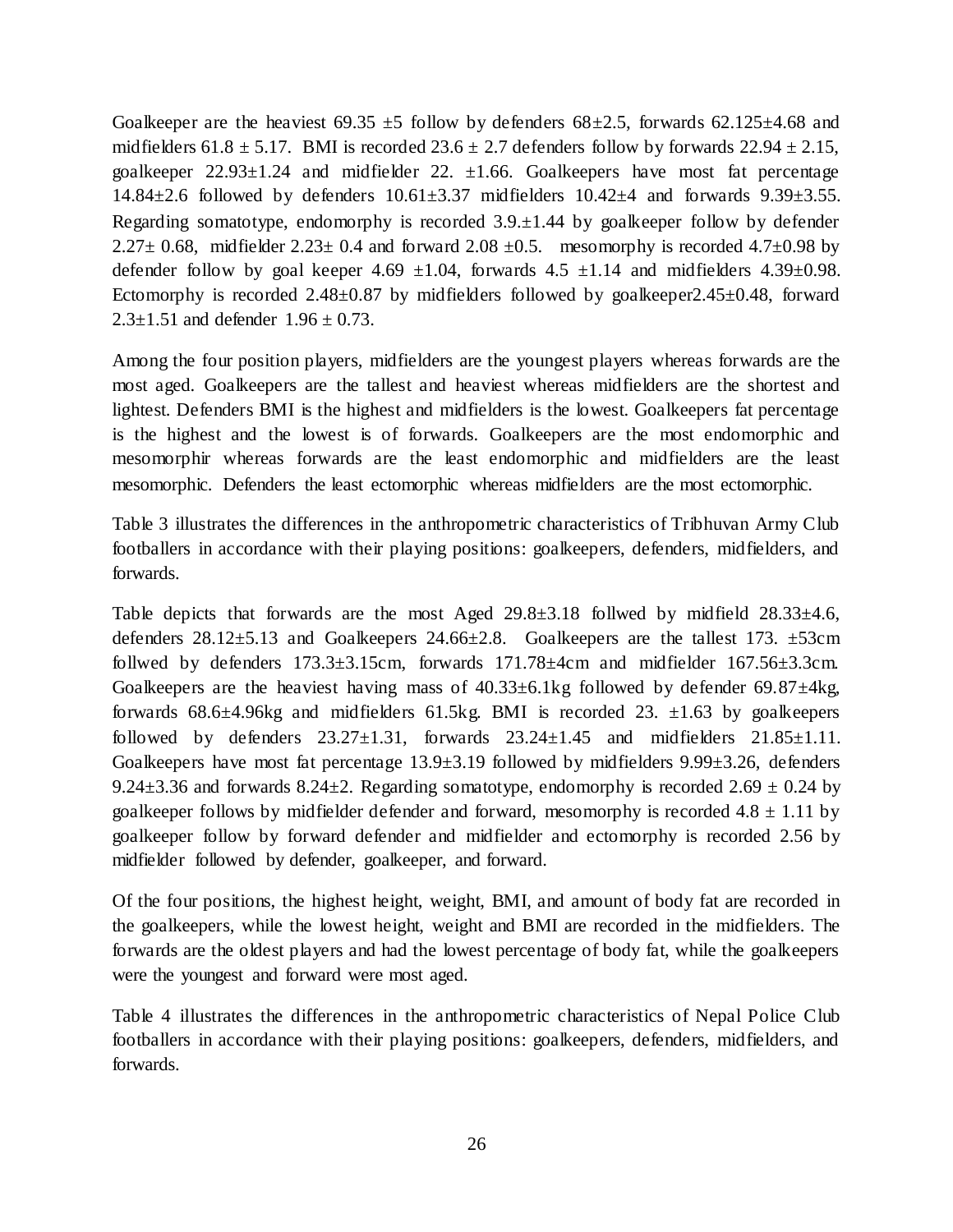Goalkeeper are the heaviest  $69.35 \pm 5$  follow by defenders  $68 \pm 2.5$ , forwards  $62.125 \pm 4.68$  and midfielders 61.8  $\pm$  5.17. BMI is recorded 23.6  $\pm$  2.7 defenders follow by forwards 22.94  $\pm$  2.15, goalkeeper  $22.93 \pm 1.24$  and midfielder 22.  $\pm 1.66$ . Goalkeepers have most fat percentage 14.84 $\pm$ 2.6 followed by defenders  $10.61\pm3.37$  midfielders  $10.42\pm4$  and forwards  $9.39\pm3.55$ . Regarding somatotype, endomorphy is recorded  $3.9 \pm 1.44$  by goalkeeper follow by defender 2.27 $\pm$  0.68, midfielder 2.23 $\pm$  0.4 and forward 2.08  $\pm$ 0.5. mesomorphy is recorded 4.7 $\pm$ 0.98 by defender follow by goal keeper 4.69  $\pm 1.04$ , forwards 4.5  $\pm 1.14$  and midfielders 4.39 $\pm 0.98$ . Ectomorphy is recorded  $2.48\pm0.87$  by midfielders followed by goalkeeper  $2.45\pm0.48$ , forward  $2.3 \pm 1.51$  and defender  $1.96 \pm 0.73$ .

Among the four position players, midfielders are the youngest players whereas forwards are the most aged. Goalkeepers are the tallest and heaviest whereas midfielders are the shortest and lightest. Defenders BMI is the highest and midfielders is the lowest. Goalkeepers fat percentage is the highest and the lowest is of forwards. Goalkeepers are the most endomorphic and mesomorphir whereas forwards are the least endomorphic and midfielders are the least mesomorphic. Defenders the least ectomorphic whereas midfielders are the most ectomorphic.

Table 3 illustrates the differences in the anthropometric characteristics of Tribhuvan Army Club footballers in accordance with their playing positions: goalkeepers, defenders, midfielders, and forwards.

Table depicts that forwards are the most Aged  $29.8\pm3.18$  follwed by midfield  $28.33\pm4.6$ , defenders 28.12±5.13 and Goalkeepers 24.66±2.8. Goalkeepers are the tallest 173. ±53cm follwed by defenders  $173.3\pm3.15$ cm, forwards  $171.78\pm4$ cm and midfielder  $167.56\pm3.3$ cm. Goalkeepers are the heaviest having mass of  $40.33\pm6.1$ kg followed by defender 69.87 $\pm4$ kg, forwards  $68.6\pm4.96$ kg and midfielders  $61.5$ kg. BMI is recorded 23.  $\pm1.63$  by goalkeepers followed by defenders  $23.27 \pm 1.31$ , forwards  $23.24 \pm 1.45$  and midfielders  $21.85 \pm 1.11$ . Goalkeepers have most fat percentage  $13.9\pm3.19$  followed by midfielders  $9.99\pm3.26$ , defenders 9.24 $\pm$ 3.36 and forwards 8.24 $\pm$ 2. Regarding somatotype, endomorphy is recorded 2.69  $\pm$  0.24 by goalkeeper follows by midfielder defender and forward, mesomorphy is recorded  $4.8 \pm 1.11$  by goalkeeper follow by forward defender and midfielder and ectomorphy is recorded 2.56 by midfielder followed by defender, goalkeeper, and forward.

Of the four positions, the highest height, weight, BMI, and amount of body fat are recorded in the goalkeepers, while the lowest height, weight and BMI are recorded in the midfielders. The forwards are the oldest players and had the lowest percentage of body fat, while the goalkeepers were the youngest and forward were most aged.

Table 4 illustrates the differences in the anthropometric characteristics of Nepal Police Club footballers in accordance with their playing positions: goalkeepers, defenders, midfielders, and forwards.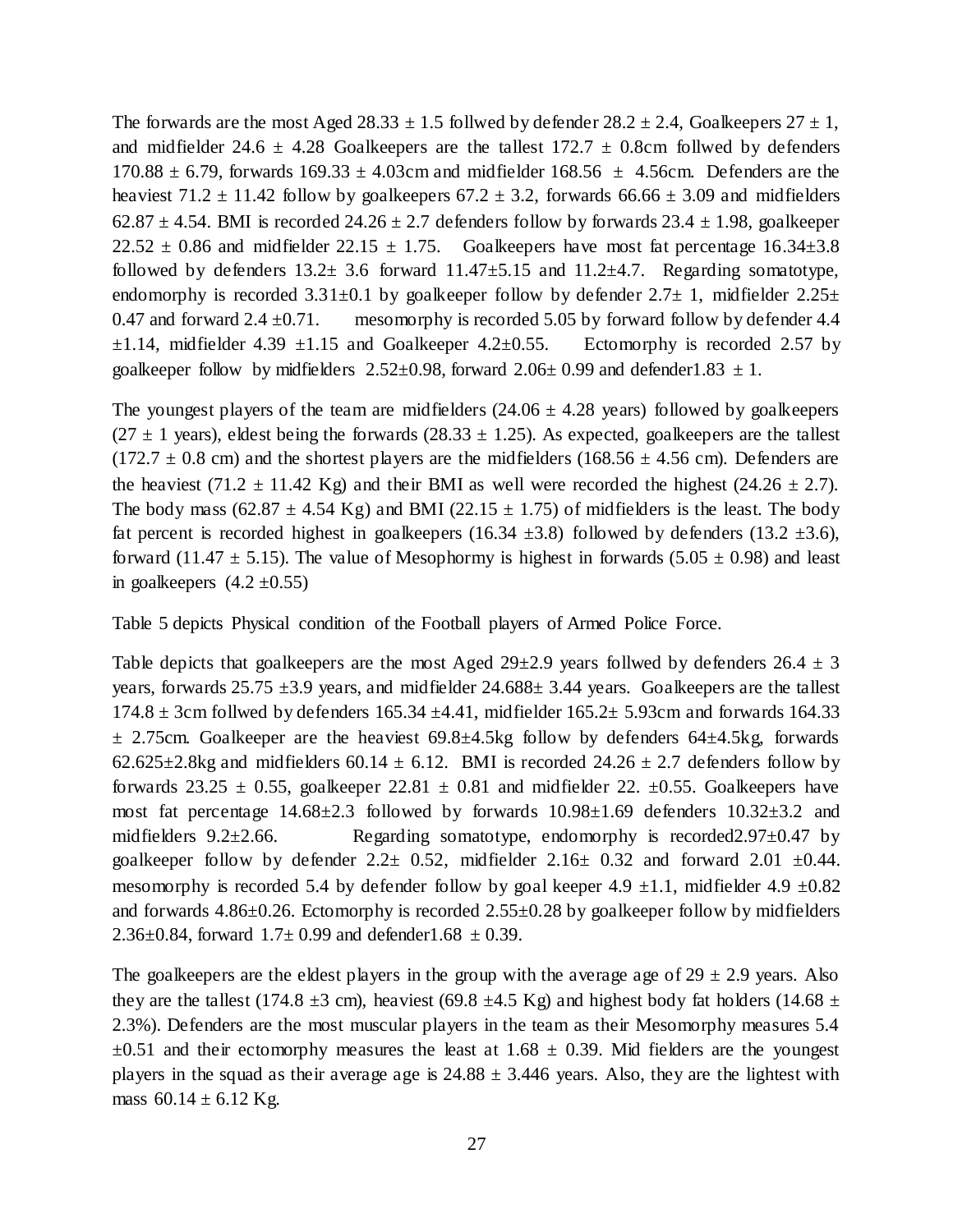The forwards are the most Aged 28.33  $\pm$  1.5 follwed by defender 28.2  $\pm$  2.4, Goalkeepers 27  $\pm$  1, and midfielder 24.6  $\pm$  4.28 Goalkeepers are the tallest 172.7  $\pm$  0.8cm follwed by defenders 170.88  $\pm$  6.79, forwards 169.33  $\pm$  4.03cm and midfielder 168.56  $\pm$  4.56cm. Defenders are the heaviest 71.2  $\pm$  11.42 follow by goalkeepers 67.2  $\pm$  3.2, forwards 66.66  $\pm$  3.09 and midfielders 62.87  $\pm$  4.54. BMI is recorded 24.26  $\pm$  2.7 defenders follow by forwards 23.4  $\pm$  1.98, goalkeeper  $22.52 \pm 0.86$  and midfielder  $22.15 \pm 1.75$ . Goalkeepers have most fat percentage 16.34 $\pm$ 3.8 followed by defenders  $13.2 \pm 3.6$  forward  $11.47 \pm 5.15$  and  $11.2 \pm 4.7$ . Regarding somatotype, endomorphy is recorded  $3.31\pm0.1$  by goalkeeper follow by defender  $2.7\pm1$ , midfielder  $2.25\pm$ 0.47 and forward 2.4  $\pm$ 0.71. mesomorphy is recorded 5.05 by forward follow by defender 4.4  $\pm 1.14$ , midfielder 4.39  $\pm 1.15$  and Goalkeeper 4.2 $\pm 0.55$ . Ectomorphy is recorded 2.57 by goalkeeper follow by midfielders  $2.52\pm0.98$ , forward  $2.06\pm0.99$  and defender 1.83  $\pm$  1.

The youngest players of the team are midfielders  $(24.06 \pm 4.28 \text{ years})$  followed by goalkeepers  $(27 \pm 1 \text{ years})$ , eldest being the forwards  $(28.33 \pm 1.25)$ . As expected, goalkeepers are the tallest  $(172.7 \pm 0.8 \text{ cm})$  and the shortest players are the midfielders  $(168.56 \pm 4.56 \text{ cm})$ . Defenders are the heaviest (71.2  $\pm$  11.42 Kg) and their BMI as well were recorded the highest (24.26  $\pm$  2.7). The body mass  $(62.87 \pm 4.54 \text{ Kg})$  and BMI (22.15  $\pm$  1.75) of midfielders is the least. The body fat percent is recorded highest in goalkeepers (16.34  $\pm$ 3.8) followed by defenders (13.2  $\pm$ 3.6), forward (11.47  $\pm$  5.15). The value of Mesophormy is highest in forwards (5.05  $\pm$  0.98) and least in goalkeepers  $(4.2 \pm 0.55)$ 

Table 5 depicts Physical condition of the Football players of Armed Police Force.

Table depicts that goalkeepers are the most Aged  $29\pm2.9$  years follwed by defenders  $26.4 \pm 3$ years, forwards  $25.75 \pm 3.9$  years, and midfielder  $24.688 \pm 3.44$  years. Goalkeepers are the tallest  $174.8 \pm 3$ cm follwed by defenders  $165.34 \pm 4.41$ , midfielder  $165.2 \pm 5.93$ cm and forwards  $164.33$  $\pm$  2.75cm. Goalkeeper are the heaviest 69.8 $\pm$ 4.5kg follow by defenders 64 $\pm$ 4.5kg, forwards 62.625 $\pm$ 2.8kg and midfielders 60.14  $\pm$  6.12. BMI is recorded 24.26  $\pm$  2.7 defenders follow by forwards 23.25  $\pm$  0.55, goalkeeper 22.81  $\pm$  0.81 and midfielder 22.  $\pm$ 0.55. Goalkeepers have most fat percentage 14.68±2.3 followed by forwards 10.98±1.69 defenders 10.32±3.2 and midfielders  $9.2 \pm 2.66$ . Regarding somatotype, endomorphy is recorded  $2.97 \pm 0.47$  by goalkeeper follow by defender  $2.2 \pm 0.52$ , midfielder  $2.16 \pm 0.32$  and forward  $2.01 \pm 0.44$ . mesomorphy is recorded 5.4 by defender follow by goal keeper 4.9  $\pm$ 1.1, midfielder 4.9  $\pm$ 0.82 and forwards 4.86±0.26. Ectomorphy is recorded 2.55±0.28 by goalkeeper follow by midfielders 2.36 $\pm$ 0.84, forward 1.7 $\pm$  0.99 and defender1.68  $\pm$  0.39.

The goalkeepers are the eldest players in the group with the average age of  $29 \pm 2.9$  years. Also they are the tallest (174.8  $\pm$ 3 cm), heaviest (69.8  $\pm$ 4.5 Kg) and highest body fat holders (14.68  $\pm$ 2.3%). Defenders are the most muscular players in the team as their Mesomorphy measures 5.4  $\pm 0.51$  and their ectomorphy measures the least at 1.68  $\pm$  0.39. Mid fielders are the youngest players in the squad as their average age is  $24.88 \pm 3.446$  years. Also, they are the lightest with mass  $60.14 \pm 6.12$  Kg.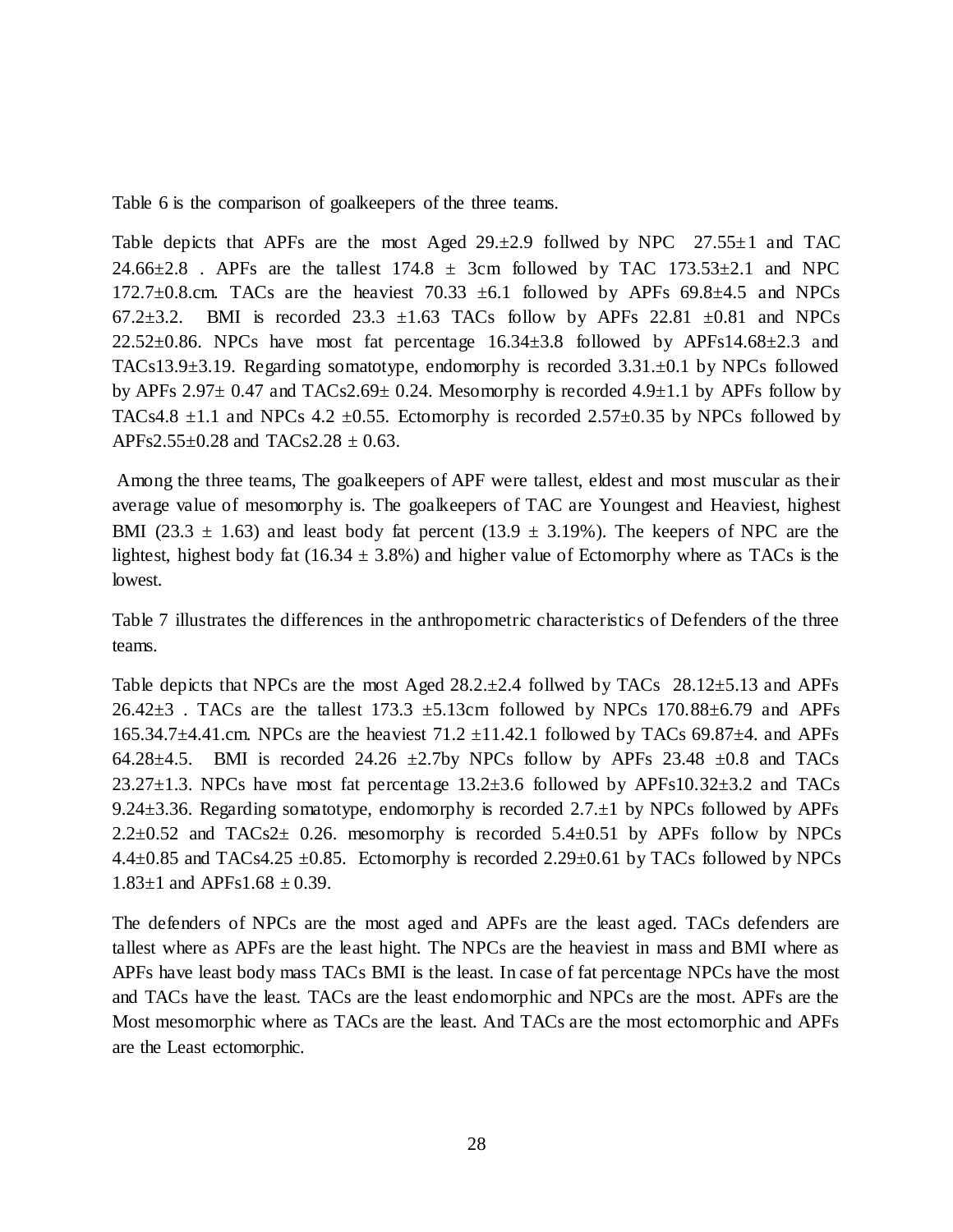Table 6 is the comparison of goalkeepers of the three teams.

Table depicts that APFs are the most Aged  $29.±2.9$  follwed by NPC  $27.55±1$  and TAC 24.66 $\pm$ 2.8 . APFs are the tallest 174.8  $\pm$  3cm followed by TAC 173.53 $\pm$ 2.1 and NPC 172.7 $\pm$ 0.8.cm. TACs are the heaviest 70.33  $\pm$ 6.1 followed by APFs 69.8 $\pm$ 4.5 and NPCs 67.2 $\pm$ 3.2. BMI is recorded 23.3  $\pm$ 1.63 TACs follow by APFs 22.81  $\pm$ 0.81 and NPCs 22.52 $\pm$ 0.86. NPCs have most fat percentage 16.34 $\pm$ 3.8 followed by APFs14.68 $\pm$ 2.3 and TACs13.9±3.19. Regarding somatotype, endomorphy is recorded 3.31.±0.1 by NPCs followed by APFs 2.97 $\pm$  0.47 and TACs2.69 $\pm$  0.24. Mesomorphy is recorded 4.9 $\pm$ 1.1 by APFs follow by TACs4.8  $\pm$ 1.1 and NPCs 4.2  $\pm$ 0.55. Ectomorphy is recorded 2.57 $\pm$ 0.35 by NPCs followed by APFs2.55 $\pm$ 0.28 and TACs2.28  $\pm$  0.63.

Among the three teams, The goalkeepers of APF were tallest, eldest and most muscular as their average value of mesomorphy is. The goalkeepers of TAC are Youngest and Heaviest, highest BMI (23.3  $\pm$  1.63) and least body fat percent (13.9  $\pm$  3.19%). The keepers of NPC are the lightest, highest body fat (16.34  $\pm$  3.8%) and higher value of Ectomorphy where as TACs is the lowest.

Table 7 illustrates the differences in the anthropometric characteristics of Defenders of the three teams.

Table depicts that NPCs are the most Aged  $28.2 \pm 2.4$  follwed by TACs  $28.12 \pm 5.13$  and APFs  $26.42\pm3$  . TACs are the tallest 173.3  $\pm$ 5.13cm followed by NPCs 170.88 $\pm$ 6.79 and APFs 165.34.7 $\pm$ 4.41.cm. NPCs are the heaviest 71.2  $\pm$ 11.42.1 followed by TACs 69.87 $\pm$ 4. and APFs 64.28 $\pm$ 4.5. BMI is recorded 24.26  $\pm$ 2.7by NPCs follow by APFs 23.48  $\pm$ 0.8 and TACs 23.27 $\pm$ 1.3. NPCs have most fat percentage 13.2 $\pm$ 3.6 followed by APFs10.32 $\pm$ 3.2 and TACs 9.24±3.36. Regarding somatotype, endomorphy is recorded 2.7.±1 by NPCs followed by APFs  $2.2\pm0.52$  and TACs2 $\pm$  0.26. mesomorphy is recorded 5.4 $\pm$ 0.51 by APFs follow by NPCs 4.4 $\pm$ 0.85 and TACs4.25  $\pm$ 0.85. Ectomorphy is recorded 2.29 $\pm$ 0.61 by TACs followed by NPCs  $1.83 \pm 1$  and APFs1.68  $\pm$  0.39.

The defenders of NPCs are the most aged and APFs are the least aged. TACs defenders are tallest where as APFs are the least hight. The NPCs are the heaviest in mass and BMI where as APFs have least body mass TACs BMI is the least. In case of fat percentage NPCs have the most and TACs have the least. TACs are the least endomorphic and NPCs are the most. APFs are the Most mesomorphic where as TACs are the least. And TACs are the most ectomorphic and APFs are the Least ectomorphic.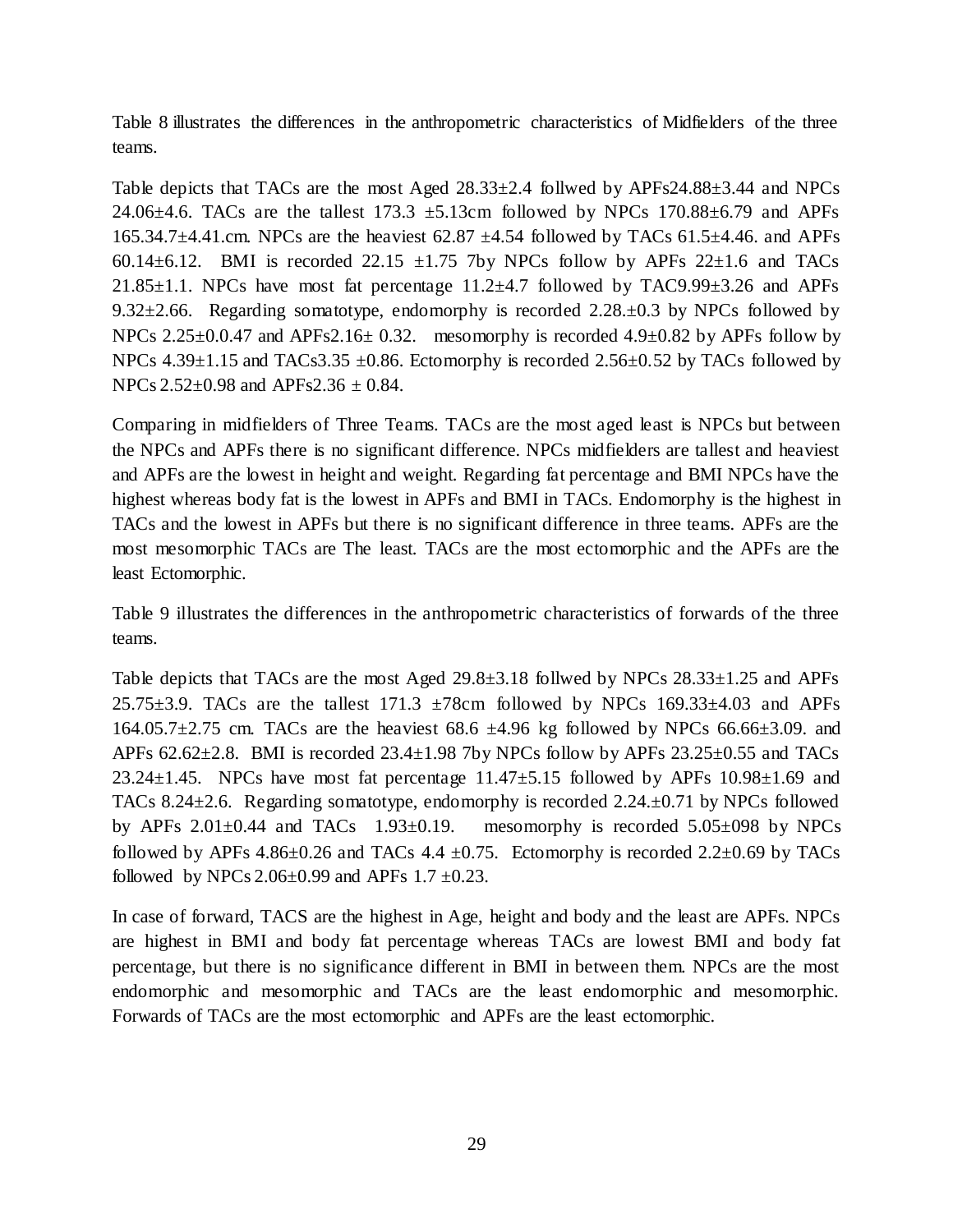Table 8 illustrates the differences in the anthropometric characteristics of Midfielders of the three teams.

Table depicts that TACs are the most Aged 28.33±2.4 follwed by APFs24.88±3.44 and NPCs 24.06 $\pm$ 4.6. TACs are the tallest 173.3  $\pm$ 5.13cm followed by NPCs 170.88 $\pm$ 6.79 and APFs 165.34.7 $\pm$ 4.41.cm. NPCs are the heaviest 62.87  $\pm$ 4.54 followed by TACs 61.5 $\pm$ 4.46. and APFs 60.14 $\pm$ 6.12. BMI is recorded 22.15  $\pm$ 1.75 7by NPCs follow by APFs 22 $\pm$ 1.6 and TACs 21.85 $\pm$ 1.1. NPCs have most fat percentage 11.2 $\pm$ 4.7 followed by TAC9.99 $\pm$ 3.26 and APFs 9.32 $\pm$ 2.66. Regarding somatotype, endomorphy is recorded 2.28. $\pm$ 0.3 by NPCs followed by NPCs  $2.25\pm0.0.47$  and APFs2.16 $\pm$  0.32. mesomorphy is recorded 4.9 $\pm$ 0.82 by APFs follow by NPCs  $4.39\pm1.15$  and TACs  $3.35\pm0.86$ . Ectomorphy is recorded  $2.56\pm0.52$  by TACs followed by NPCs  $2.52 \pm 0.98$  and APFs2.36  $\pm$  0.84.

Comparing in midfielders of Three Teams. TACs are the most aged least is NPCs but between the NPCs and APFs there is no significant difference. NPCs midfielders are tallest and heaviest and APFs are the lowest in height and weight. Regarding fat percentage and BMI NPCs have the highest whereas body fat is the lowest in APFs and BMI in TACs. Endomorphy is the highest in TACs and the lowest in APFs but there is no significant difference in three teams. APFs are the most mesomorphic TACs are The least. TACs are the most ectomorphic and the APFs are the least Ectomorphic.

Table 9 illustrates the differences in the anthropometric characteristics of forwards of the three teams.

Table depicts that TACs are the most Aged 29.8±3.18 follwed by NPCs 28.33±1.25 and APFs 25.75 $\pm$ 3.9. TACs are the tallest 171.3  $\pm$ 78cm followed by NPCs 169.33 $\pm$ 4.03 and APFs 164.05.7 $\pm$ 2.75 cm. TACs are the heaviest 68.6  $\pm$ 4.96 kg followed by NPCs 66.66 $\pm$ 3.09. and APFs  $62.62\pm2.8$ . BMI is recorded  $23.4\pm1.98$  7by NPCs follow by APFs  $23.25\pm0.55$  and TACs 23.24 $\pm$ 1.45. NPCs have most fat percentage 11.47 $\pm$ 5.15 followed by APFs 10.98 $\pm$ 1.69 and TACs 8.24±2.6. Regarding somatotype, endomorphy is recorded 2.24.±0.71 by NPCs followed by APFs  $2.01\pm0.44$  and TACs  $1.93\pm0.19$ . mesomorphy is recorded  $5.05\pm0.98$  by NPCs followed by APFs  $4.86\pm0.26$  and TACs  $4.4\pm0.75$ . Ectomorphy is recorded  $2.2\pm0.69$  by TACs followed by NPCs  $2.06\pm0.99$  and APFs  $1.7\pm0.23$ .

In case of forward, TACS are the highest in Age, height and body and the least are APFs. NPCs are highest in BMI and body fat percentage whereas TACs are lowest BMI and body fat percentage, but there is no significance different in BMI in between them. NPCs are the most endomorphic and mesomorphic and TACs are the least endomorphic and mesomorphic. Forwards of TACs are the most ectomorphic and APFs are the least ectomorphic.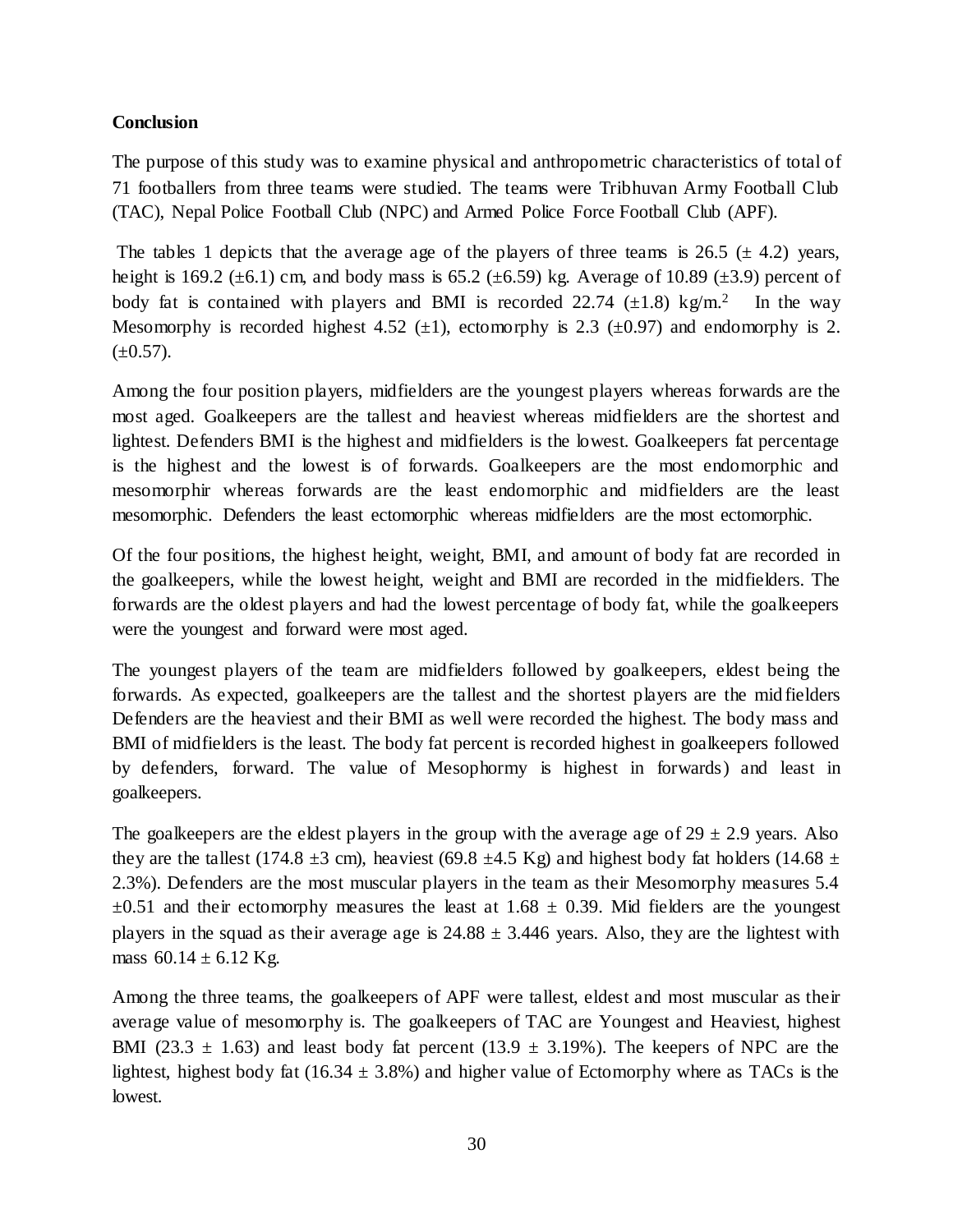## **Conclusion**

The purpose of this study was to examine physical and anthropometric characteristics of total of 71 footballers from three teams were studied. The teams were Tribhuvan Army Football Club (TAC), Nepal Police Football Club (NPC) and Armed Police Force Football Club (APF).

The tables 1 depicts that the average age of the players of three teams is 26.5 ( $\pm$  4.2) years, height is 169.2 ( $\pm$ 6.1) cm, and body mass is 65.2 ( $\pm$ 6.59) kg. Average of 10.89 ( $\pm$ 3.9) percent of body fat is contained with players and BMI is recorded 22.74  $(\pm 1.8)$  kg/m.<sup>2</sup> In the way Mesomorphy is recorded highest 4.52 ( $\pm$ 1), ectomorphy is 2.3 ( $\pm$ 0.97) and endomorphy is 2.  $(\pm 0.57)$ .

Among the four position players, midfielders are the youngest players whereas forwards are the most aged. Goalkeepers are the tallest and heaviest whereas midfielders are the shortest and lightest. Defenders BMI is the highest and midfielders is the lowest. Goalkeepers fat percentage is the highest and the lowest is of forwards. Goalkeepers are the most endomorphic and mesomorphir whereas forwards are the least endomorphic and midfielders are the least mesomorphic. Defenders the least ectomorphic whereas midfielders are the most ectomorphic.

Of the four positions, the highest height, weight, BMI, and amount of body fat are recorded in the goalkeepers, while the lowest height, weight and BMI are recorded in the midfielders. The forwards are the oldest players and had the lowest percentage of body fat, while the goalkeepers were the youngest and forward were most aged.

The youngest players of the team are midfielders followed by goalkeepers, eldest being the forwards. As expected, goalkeepers are the tallest and the shortest players are the mid fielders Defenders are the heaviest and their BMI as well were recorded the highest. The body mass and BMI of midfielders is the least. The body fat percent is recorded highest in goalkeepers followed by defenders, forward. The value of Mesophormy is highest in forwards) and least in goalkeepers.

The goalkeepers are the eldest players in the group with the average age of  $29 \pm 2.9$  years. Also they are the tallest (174.8  $\pm$ 3 cm), heaviest (69.8  $\pm$ 4.5 Kg) and highest body fat holders (14.68  $\pm$ 2.3%). Defenders are the most muscular players in the team as their Mesomorphy measures 5.4  $\pm 0.51$  and their ectomorphy measures the least at 1.68  $\pm$  0.39. Mid fielders are the youngest players in the squad as their average age is  $24.88 \pm 3.446$  years. Also, they are the lightest with mass  $60.14 \pm 6.12$  Kg.

Among the three teams, the goalkeepers of APF were tallest, eldest and most muscular as their average value of mesomorphy is. The goalkeepers of TAC are Youngest and Heaviest, highest BMI (23.3  $\pm$  1.63) and least body fat percent (13.9  $\pm$  3.19%). The keepers of NPC are the lightest, highest body fat (16.34  $\pm$  3.8%) and higher value of Ectomorphy where as TACs is the lowest.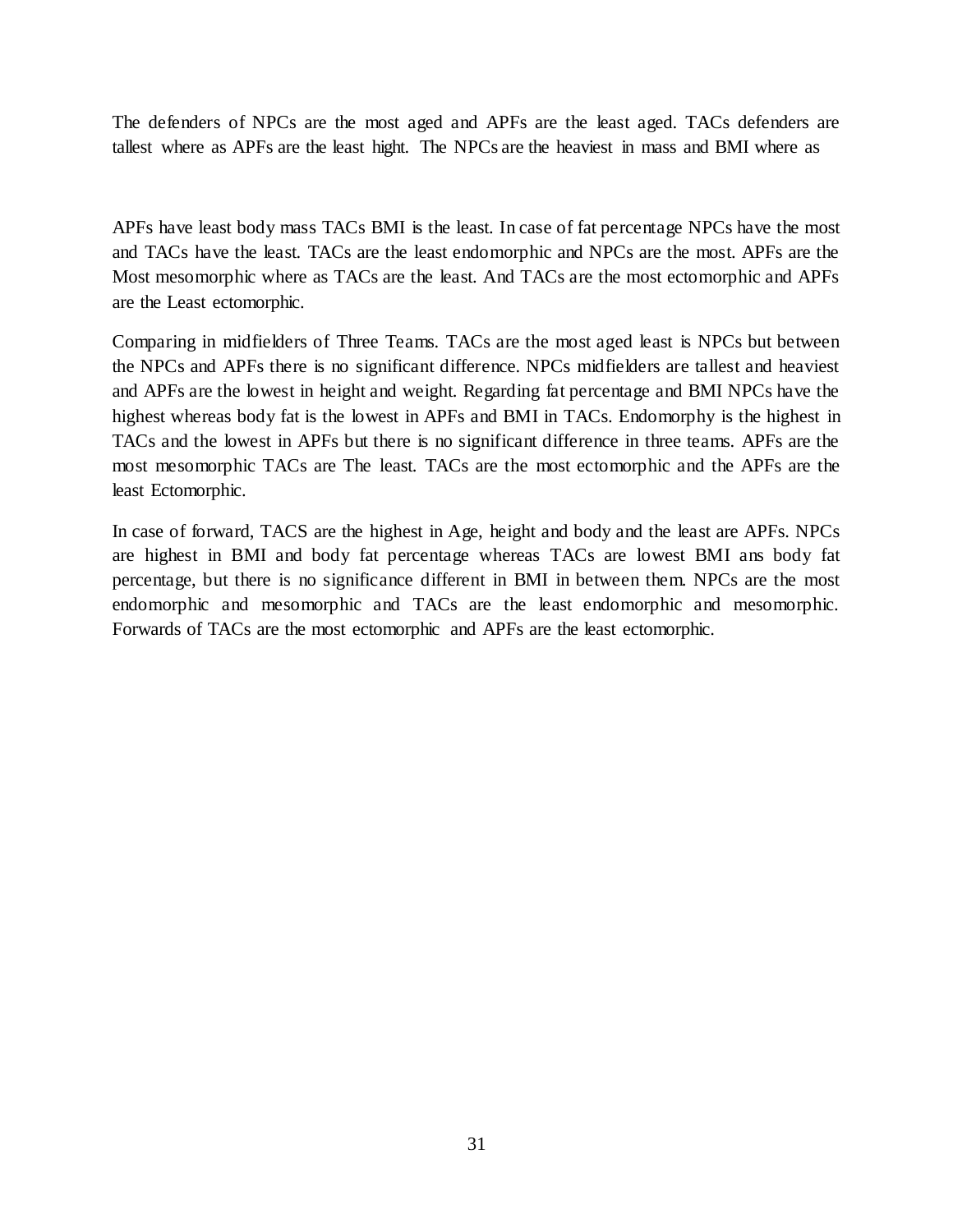The defenders of NPCs are the most aged and APFs are the least aged. TACs defenders are tallest where as APFs are the least hight. The NPCs are the heaviest in mass and BMI where as

APFs have least body mass TACs BMI is the least. In case of fat percentage NPCs have the most and TACs have the least. TACs are the least endomorphic and NPCs are the most. APFs are the Most mesomorphic where as TACs are the least. And TACs are the most ectomorphic and APFs are the Least ectomorphic.

Comparing in midfielders of Three Teams. TACs are the most aged least is NPCs but between the NPCs and APFs there is no significant difference. NPCs midfielders are tallest and heaviest and APFs are the lowest in height and weight. Regarding fat percentage and BMI NPCs have the highest whereas body fat is the lowest in APFs and BMI in TACs. Endomorphy is the highest in TACs and the lowest in APFs but there is no significant difference in three teams. APFs are the most mesomorphic TACs are The least. TACs are the most ectomorphic and the APFs are the least Ectomorphic.

In case of forward, TACS are the highest in Age, height and body and the least are APFs. NPCs are highest in BMI and body fat percentage whereas TACs are lowest BMI ans body fat percentage, but there is no significance different in BMI in between them. NPCs are the most endomorphic and mesomorphic and TACs are the least endomorphic and mesomorphic. Forwards of TACs are the most ectomorphic and APFs are the least ectomorphic.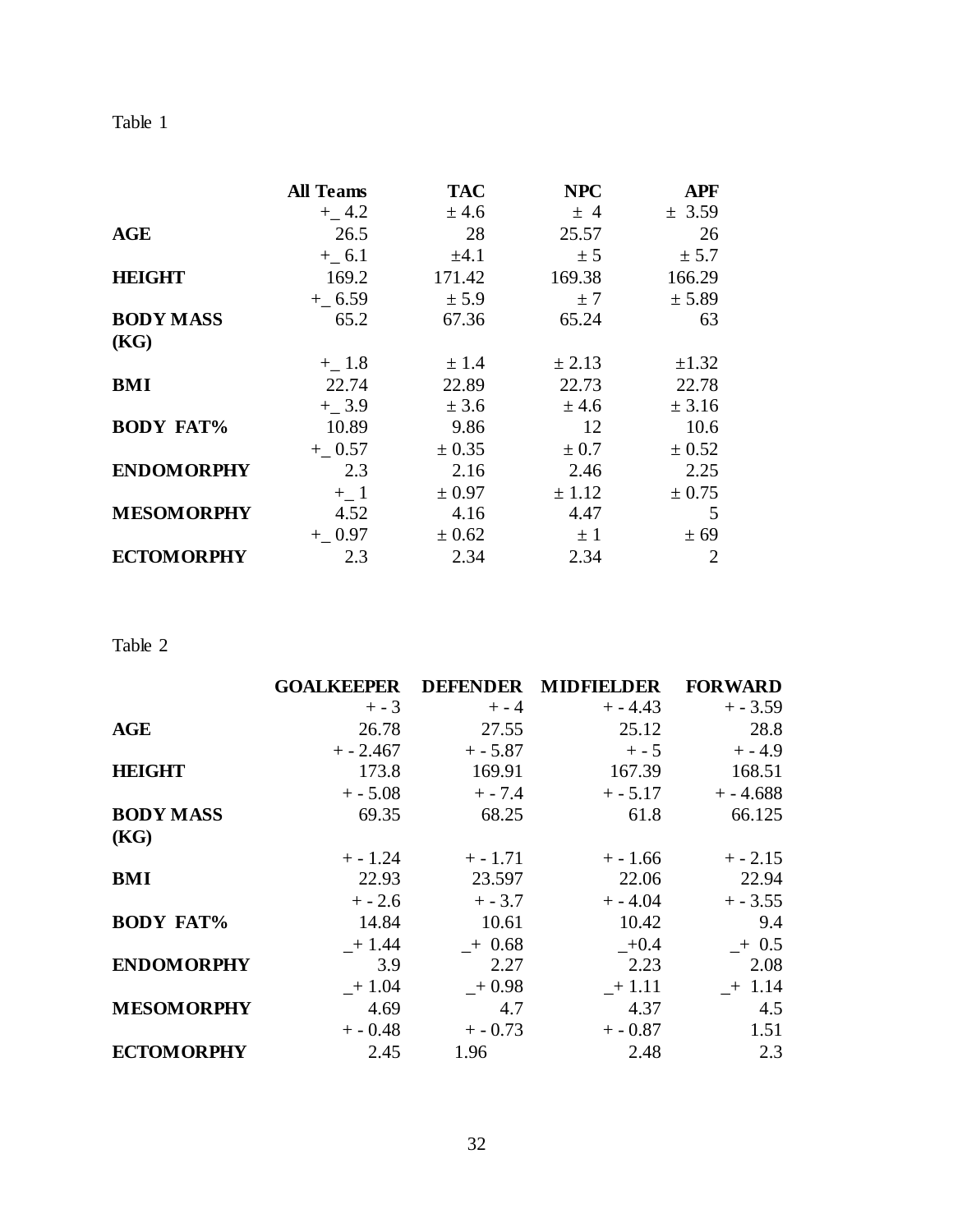| L<br>ľ<br>H<br>×. |  |
|-------------------|--|
|                   |  |

|                   | <b>All Teams</b>  | <b>TAC</b> | <b>NPC</b> | <b>APF</b>     |
|-------------------|-------------------|------------|------------|----------------|
|                   | $+$ 4.2           | ± 4.6      | ± 4        | ± 3.59         |
| <b>AGE</b>        | 26.5              | 28         | 25.57      | 26             |
|                   | $+$ 6.1           | $\pm 4.1$  | ± 5        | ± 5.7          |
| <b>HEIGHT</b>     | 169.2             | 171.42     | 169.38     | 166.29         |
|                   | $+$ 6.59          | ± 5.9      | ±7         | ± 5.89         |
| <b>BODY MASS</b>  | 65.2              | 67.36      | 65.24      | 63             |
| (KG)              |                   |            |            |                |
|                   | $+$ 1.8           | ± 1.4      | ± 2.13     | $\pm 1.32$     |
| BMI               | 22.74             | 22.89      | 22.73      | 22.78          |
|                   | $+$ 3.9           | ± 3.6      | ± 4.6      | ± 3.16         |
| <b>BODY FAT%</b>  | 10.89             | 9.86       | 12         | 10.6           |
|                   | $+$ 0.57          | ± 0.35     | ± 0.7      | ± 0.52         |
| <b>ENDOMORPHY</b> | 2.3               | 2.16       | 2.46       | 2.25           |
|                   | $+$ <sub>-1</sub> | ± 0.97     | ± 1.12     | ± 0.75         |
| <b>MESOMORPHY</b> | 4.52              | 4.16       | 4.47       | 5              |
|                   | $+ 0.97$          | ± 0.62     | $\pm$ 1    | ± 69           |
| <b>ECTOMORPHY</b> | 2.3               | 2.34       | 2.34       | $\overline{2}$ |

Table 2

|                   | <b>GOALKEEPER</b> | <b>DEFENDER</b> | <b>MIDFIELDER</b> | <b>FORWARD</b> |
|-------------------|-------------------|-----------------|-------------------|----------------|
|                   | $+ - 3$           | $+ - 4$         | $+ - 4.43$        | $+ - 3.59$     |
| <b>AGE</b>        | 26.78             | 27.55           | 25.12             | 28.8           |
|                   | $+ - 2.467$       | $+-5.87$        | $+ - 5$           | $+ - 4.9$      |
| <b>HEIGHT</b>     | 173.8             | 169.91          | 167.39            | 168.51         |
|                   | $+ - 5.08$        | $+ - 7.4$       | $+ - 5.17$        | $+ - 4.688$    |
| <b>BODY MASS</b>  | 69.35             | 68.25           | 61.8              | 66.125         |
| (KG)              |                   |                 |                   |                |
|                   | $+ - 1.24$        | $+ - 1.71$      | $+ - 1.66$        | $+ - 2.15$     |
| <b>BMI</b>        | 22.93             | 23.597          | 22.06             | 22.94          |
|                   | $+ - 2.6$         | $+ - 3.7$       | $+ - 4.04$        | $+ - 3.55$     |
| <b>BODY FAT%</b>  | 14.84             | 10.61           | 10.42             | 9.4            |
|                   | $-+1.44$          | $+0.68$         | $+0.4$            | $+0.5$         |
| <b>ENDOMORPHY</b> | 3.9               | 2.27            | 2.23              | 2.08           |
|                   | $+1.04$           | $+0.98$         | $+1.11$           | $+1.14$        |
| <b>MESOMORPHY</b> | 4.69              | 4.7             | 4.37              | 4.5            |
|                   | $+ -0.48$         | $+ - 0.73$      | $+ -0.87$         | 1.51           |
| <b>ECTOMORPHY</b> | 2.45              | 1.96            | 2.48              | 2.3            |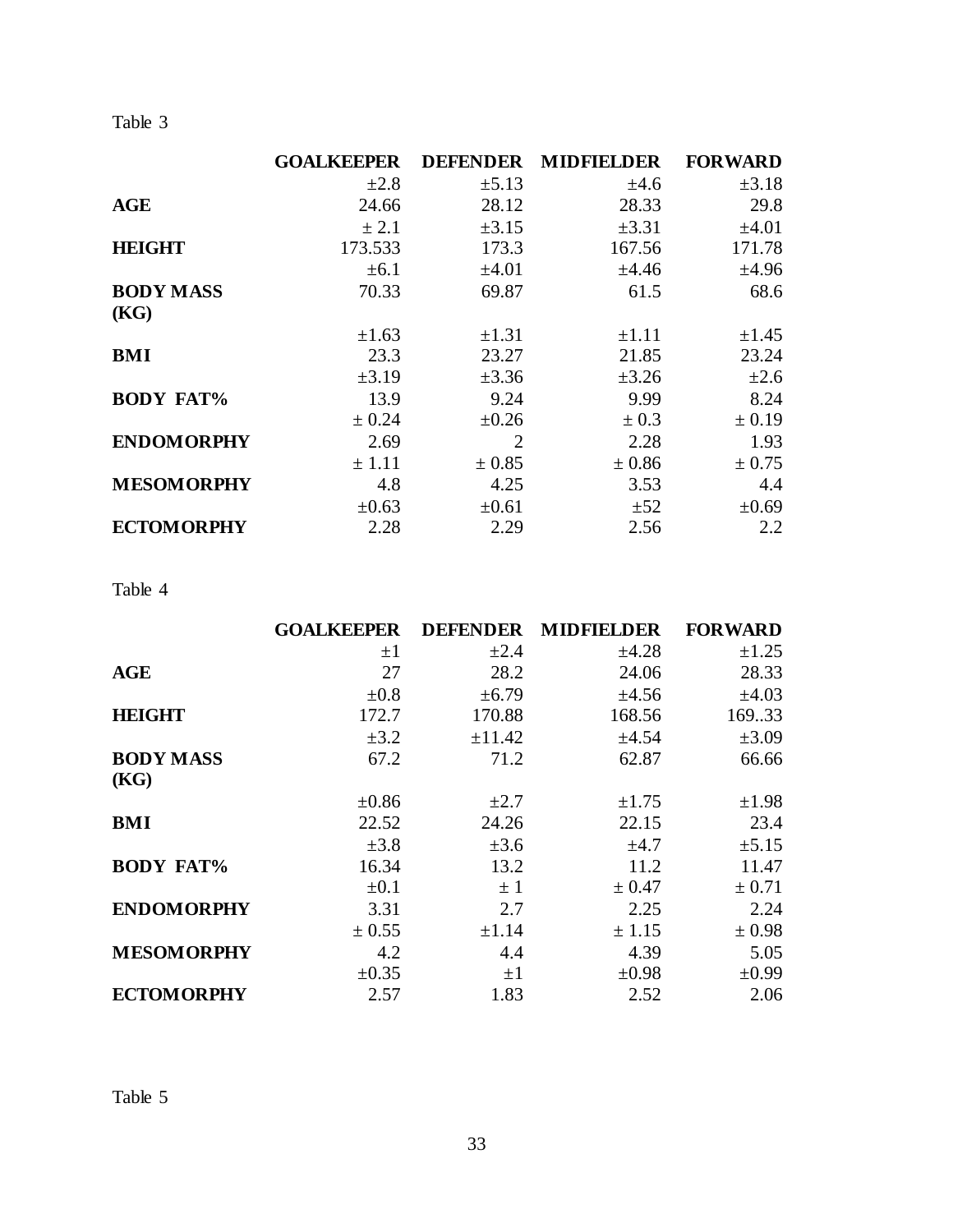Table 3

|                   | <b>GOALKEEPER</b> | <b>DEFENDER</b> | <b>MIDFIELDER</b> | <b>FORWARD</b> |
|-------------------|-------------------|-----------------|-------------------|----------------|
|                   | $\pm 2.8$         | $\pm 5.13$      | ±4.6              | $\pm 3.18$     |
| <b>AGE</b>        | 24.66             | 28.12           | 28.33             | 29.8           |
|                   | ± 2.1             | $\pm 3.15$      | ±3.31             | ±4.01          |
| <b>HEIGHT</b>     | 173.533           | 173.3           | 167.56            | 171.78         |
|                   | ±6.1              | $\pm 4.01$      | ±4.46             | ±4.96          |
| <b>BODY MASS</b>  | 70.33             | 69.87           | 61.5              | 68.6           |
| (KG)              |                   |                 |                   |                |
|                   | $\pm 1.63$        | $\pm 1.31$      | $\pm 1.11$        | $\pm 1.45$     |
| <b>BMI</b>        | 23.3              | 23.27           | 21.85             | 23.24          |
|                   | $\pm 3.19$        | $\pm 3.36$      | $\pm 3.26$        | $\pm 2.6$      |
| <b>BODY FAT%</b>  | 13.9              | 9.24            | 9.99              | 8.24           |
|                   | ± 0.24            | $\pm 0.26$      | ± 0.3             | ± 0.19         |
| <b>ENDOMORPHY</b> | 2.69              | 2               | 2.28              | 1.93           |
|                   | ± 1.11            | ± 0.85          | ± 0.86            | ± 0.75         |
| <b>MESOMORPHY</b> | 4.8               | 4.25            | 3.53              | 4.4            |
|                   | $\pm 0.63$        | $\pm 0.61$      | ±52               | $\pm 0.69$     |
| <b>ECTOMORPHY</b> | 2.28              | 2.29            | 2.56              | 2.2            |

## Table 4

|                   | <b>GOALKEEPER</b> | <b>DEFENDER</b> | <b>MIDEIELDER</b> | <b>FORWARD</b> |
|-------------------|-------------------|-----------------|-------------------|----------------|
|                   | $\pm 1$           | $\pm 2.4$       | ±4.28             | $\pm 1.25$     |
| <b>AGE</b>        | 27                | 28.2            | 24.06             | 28.33          |
|                   | $\pm 0.8$         | $\pm 6.79$      | $\pm 4.56$        | $\pm 4.03$     |
| <b>HEIGHT</b>     | 172.7             | 170.88          | 168.56            | 169.33         |
|                   | $\pm 3.2$         | ±11.42          | ±4.54             | $\pm 3.09$     |
| <b>BODY MASS</b>  | 67.2              | 71.2            | 62.87             | 66.66          |
| (KG)              |                   |                 |                   |                |
|                   | $\pm 0.86$        | $\pm 2.7$       | $\pm 1.75$        | $\pm 1.98$     |
| <b>BMI</b>        | 22.52             | 24.26           | 22.15             | 23.4           |
|                   | $\pm 3.8$         | $\pm 3.6$       | $\pm 4.7$         | ±5.15          |
| <b>BODY FAT%</b>  | 16.34             | 13.2            | 11.2              | 11.47          |
|                   | $\pm 0.1$         | $\pm$ 1         | ± 0.47            | ± 0.71         |
| <b>ENDOMORPHY</b> | 3.31              | 2.7             | 2.25              | 2.24           |
|                   | ± 0.55            | $\pm 1.14$      | ± 1.15            | ± 0.98         |
| <b>MESOMORPHY</b> | 4.2               | 4.4             | 4.39              | 5.05           |
|                   | $\pm 0.35$        | $\pm 1$         | $\pm 0.98$        | $\pm 0.99$     |
| <b>ECTOMORPHY</b> | 2.57              | 1.83            | 2.52              | 2.06           |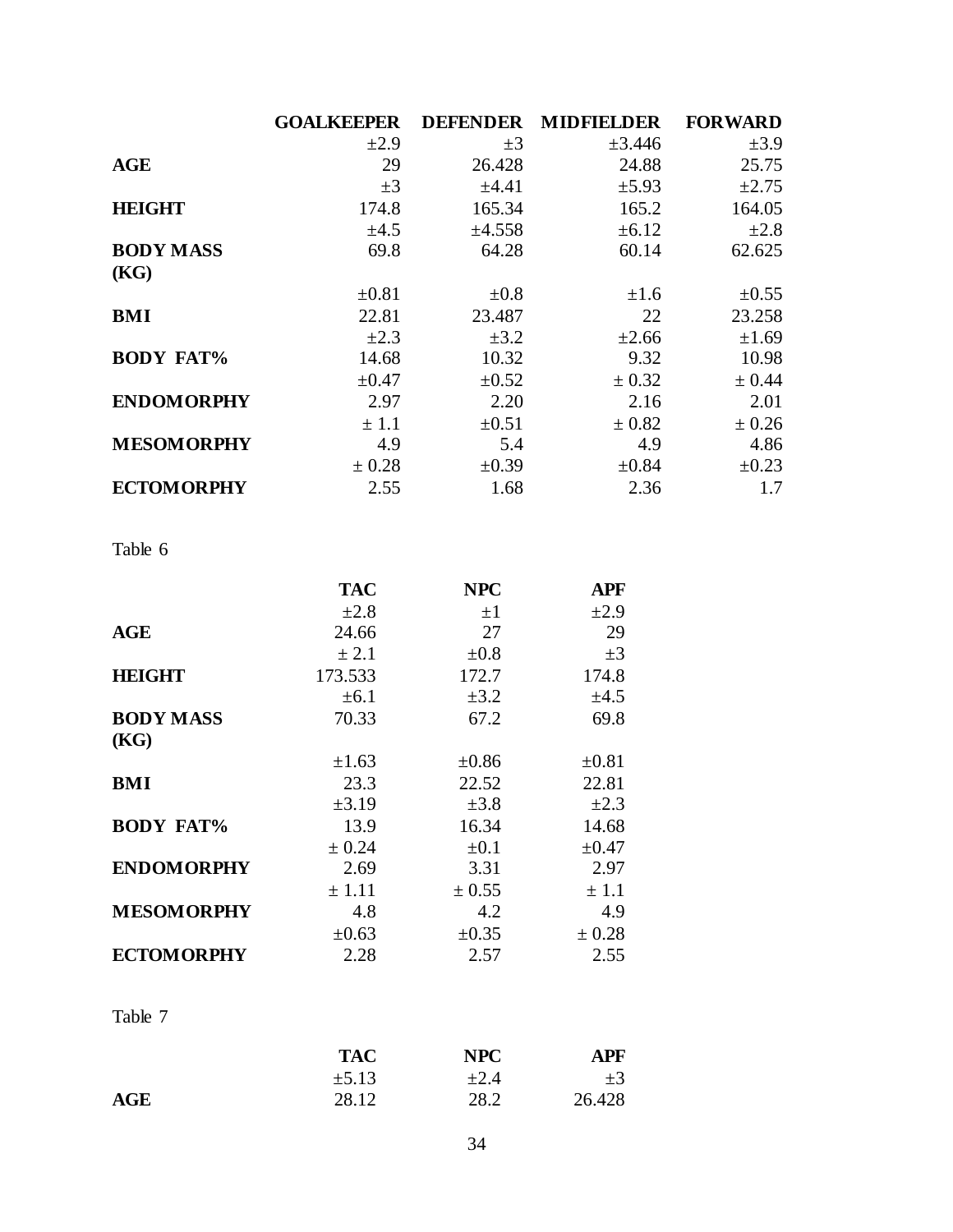|                   | <b>GOALKEEPER</b> | <b>DEFENDER</b> | <b>MIDFIELDER</b> | <b>FORWARD</b> |
|-------------------|-------------------|-----------------|-------------------|----------------|
|                   | $\pm 2.9$         | $\pm 3$         | $\pm 3.446$       | $\pm 3.9$      |
| <b>AGE</b>        | 29                | 26.428          | 24.88             | 25.75          |
|                   | $\pm 3$           | ±4.41           | $\pm$ 5.93        | ±2.75          |
| <b>HEIGHT</b>     | 174.8             | 165.34          | 165.2             | 164.05         |
|                   | $\pm 4.5$         | ±4.558          | ±6.12             | $\pm 2.8$      |
| <b>BODY MASS</b>  | 69.8              | 64.28           | 60.14             | 62.625         |
| (KG)              |                   |                 |                   |                |
|                   | $\pm 0.81$        | $\pm 0.8$       | $\pm 1.6$         | $\pm 0.55$     |
| <b>BMI</b>        | 22.81             | 23.487          | 22                | 23.258         |
|                   | $\pm 2.3$         | $\pm 3.2$       | $\pm 2.66$        | $\pm 1.69$     |
| <b>BODY FAT%</b>  | 14.68             | 10.32           | 9.32              | 10.98          |
|                   | $\pm 0.47$        | $\pm 0.52$      | ± 0.32            | ± 0.44         |
| <b>ENDOMORPHY</b> | 2.97              | 2.20            | 2.16              | 2.01           |
|                   | ± 1.1             | $\pm 0.51$      | ± 0.82            | ± 0.26         |
| <b>MESOMORPHY</b> | 4.9               | 5.4             | 4.9               | 4.86           |
|                   | ± 0.28            | $\pm 0.39$      | $\pm 0.84$        | $\pm 0.23$     |
| <b>ECTOMORPHY</b> | 2.55              | 1.68            | 2.36              | 1.7            |

## Table 6

|                   | <b>TAC</b> | <b>NPC</b> | APF        |
|-------------------|------------|------------|------------|
|                   | $\pm 2.8$  | $\pm 1$    | $\pm 2.9$  |
| AGE               | 24.66      | 27         | 29         |
|                   | ± 2.1      | $\pm 0.8$  | $\pm 3$    |
| <b>HEIGHT</b>     | 173.533    | 172.7      | 174.8      |
|                   | $\pm 6.1$  | $\pm 3.2$  | ±4.5       |
| <b>BODY MASS</b>  | 70.33      | 67.2       | 69.8       |
| (KG)              |            |            |            |
|                   | $\pm 1.63$ | $\pm 0.86$ | $\pm 0.81$ |
| <b>BMI</b>        | 23.3       | 22.52      | 22.81      |
|                   | $\pm 3.19$ | $\pm 3.8$  | $\pm 2.3$  |
| <b>BODY FAT%</b>  | 13.9       | 16.34      | 14.68      |
|                   | ± 0.24     | $\pm 0.1$  | $\pm 0.47$ |
| <b>ENDOMORPHY</b> | 2.69       | 3.31       | 2.97       |
|                   | ± 1.11     | ± 0.55     | ± 1.1      |
| <b>MESOMORPHY</b> | 4.8        | 4.2        | 4.9        |
|                   | $\pm 0.63$ | $\pm 0.35$ | ± 0.28     |
| <b>ECTOMORPHY</b> | 2.28       | 2.57       | 2.55       |

## Table 7

|            | <b>TAC</b> | NPC    | APF     |
|------------|------------|--------|---------|
|            | $\pm 5.13$ | $+2.4$ | $\pm 3$ |
| <b>AGE</b> | 28.12      | 28.2   | 26.428  |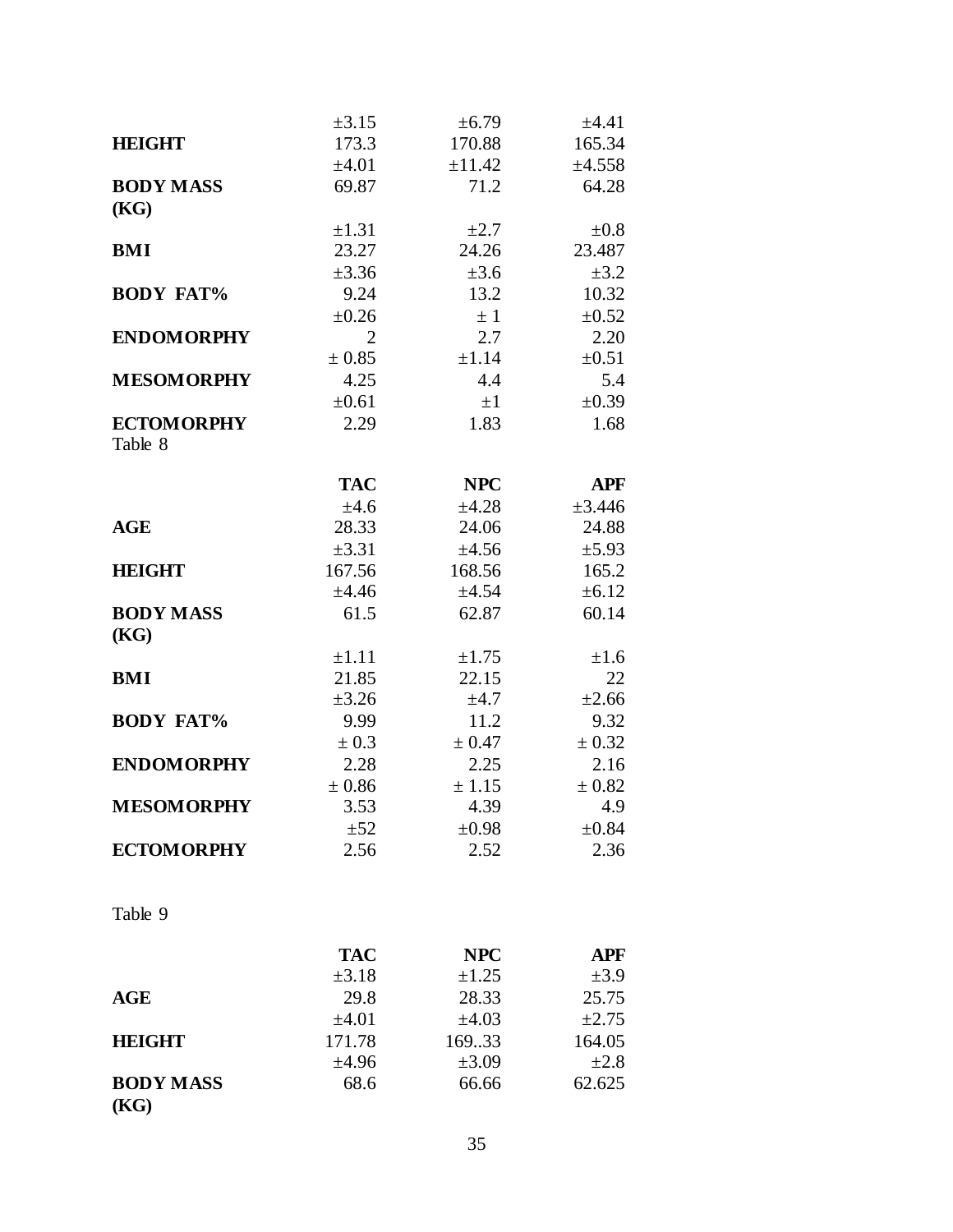|                          | $\pm 3.15$     | $\pm 6.79$ | ±4.41      |
|--------------------------|----------------|------------|------------|
| <b>HEIGHT</b>            | 173.3          | 170.88     | 165.34     |
|                          | $\pm 4.01$     | ±11.42     | ±4.558     |
| <b>BODY MASS</b>         | 69.87          | 71.2       | 64.28      |
| (KG)                     |                |            |            |
|                          | $\pm 1.31$     | $\pm 2.7$  | $\pm 0.8$  |
| <b>BMI</b>               | 23.27          | 24.26      | 23.487     |
|                          | $\pm 3.36$     | $\pm 3.6$  | $\pm 3.2$  |
| <b>BODY FAT%</b>         | 9.24           | 13.2       | 10.32      |
|                          | $\pm 0.26$     | $\pm$ 1    | $\pm 0.52$ |
| <b>ENDOMORPHY</b>        | $\overline{2}$ | 2.7        | 2.20       |
|                          | ± 0.85         | ±1.14      | $\pm 0.51$ |
| <b>MESOMORPHY</b>        | 4.25           | 4.4        | 5.4        |
|                          | $\pm 0.61$     | $\pm 1$    | $\pm 0.39$ |
| <b>ECTOMORPHY</b>        | 2.29           | 1.83       | 1.68       |
| Table 8                  |                |            |            |
|                          | <b>TAC</b>     | <b>NPC</b> | <b>APF</b> |
|                          | ±4.6           | ±4.28      | ±3.446     |
| <b>AGE</b>               | 28.33          | 24.06      | 24.88      |
|                          | $\pm 3.31$     | ±4.56      | $\pm$ 5.93 |
| <b>HEIGHT</b>            | 167.56         | 168.56     | 165.2      |
|                          | ±4.46          | ±4.54      | $\pm 6.12$ |
| <b>BODY MASS</b><br>(KG) | 61.5           | 62.87      | 60.14      |
|                          | $\pm 1.11$     | $\pm 1.75$ | ±1.6       |
| <b>BMI</b>               | 21.85          | 22.15      | 22         |
|                          | $\pm 3.26$     | $\pm 4.7$  | $\pm 2.66$ |
| <b>BODY FAT%</b>         | 9.99           | 11.2       | 9.32       |
|                          | ± 0.3          | ± 0.47     | ± 0.32     |
| <b>ENDOMORPHY</b>        | 2.28           | 2.25       | 2.16       |
|                          | ± 0.86         | ± 1.15     | ± 0.82     |
| <b>MESOMORPHY</b>        | 3.53           | 4.39       | 4.9        |
|                          | ±52            | $\pm 0.98$ | $\pm 0.84$ |
| <b>ECTOMORPHY</b>        | 2.56           | 2.52       | 2.36       |
| Table 9                  |                |            |            |
|                          |                |            |            |
|                          | <b>TAC</b>     | <b>NPC</b> | <b>APF</b> |
|                          | $\pm 3.18$     | $\pm 1.25$ | $\pm 3.9$  |
| AGE                      | 29.8           | 28.33      | 25.75      |
|                          | $\pm 4.01$     | $\pm 4.03$ | $\pm 2.75$ |
| <b>HEIGHT</b>            | 171.78         | 169.33     | 164.05     |
|                          | ±4.96          | $\pm 3.09$ | $\pm 2.8$  |
| <b>BODY MASS</b><br>(KG) | 68.6           | 66.66      | 62.625     |
|                          |                |            |            |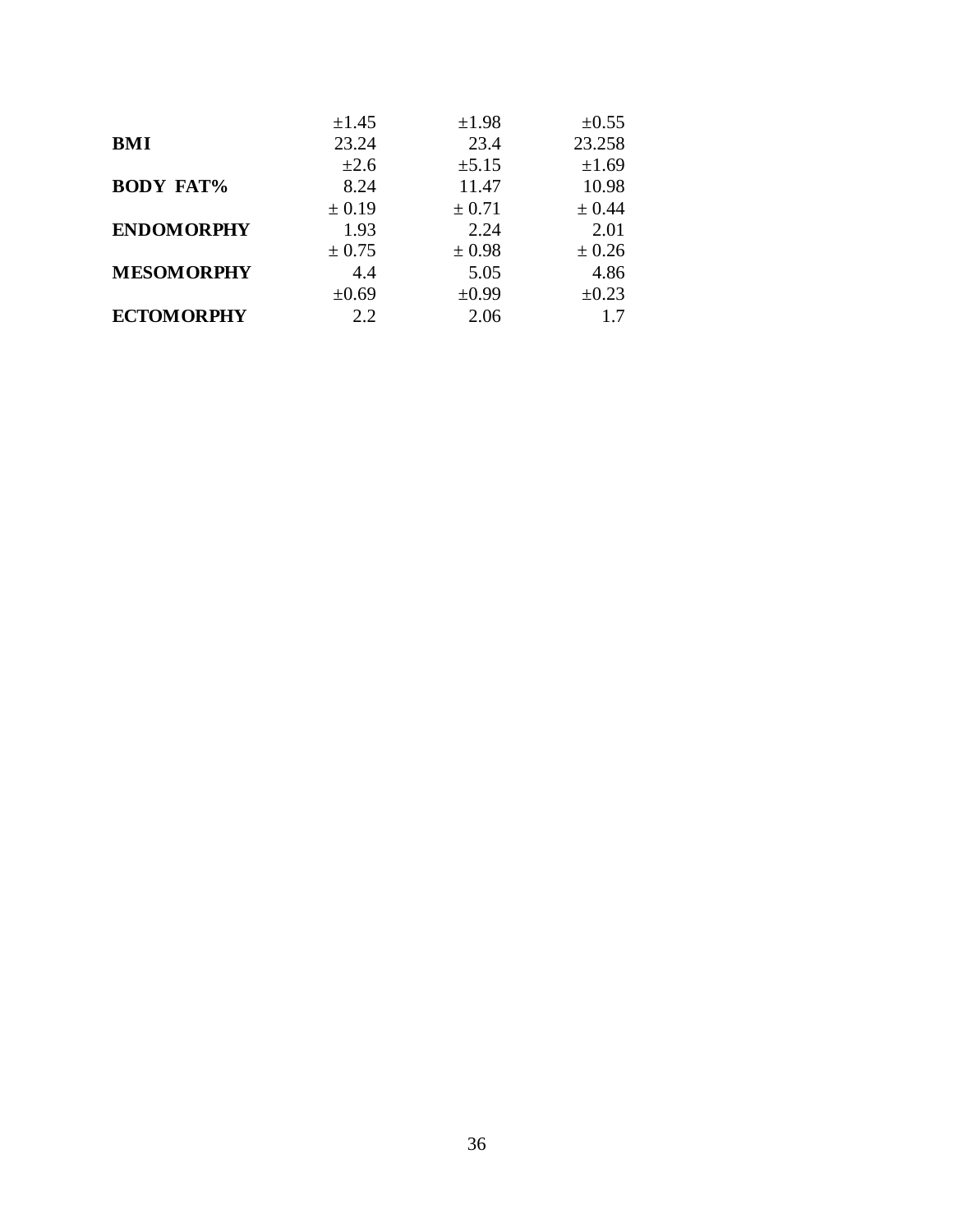|                   | $\pm 1.45$ | $\pm 1.98$ | $\pm 0.55$ |
|-------------------|------------|------------|------------|
| <b>BMI</b>        | 23.24      | 23.4       | 23.258     |
|                   | $\pm 2.6$  | $\pm 5.15$ | ±1.69      |
| <b>BODY FAT%</b>  | 8.24       | 11.47      | 10.98      |
|                   | ± 0.19     | ± 0.71     | ± 0.44     |
| <b>ENDOMORPHY</b> | 1.93       | 2.24       | 2.01       |
|                   | $\pm$ 0.75 | ± 0.98     | ± 0.26     |
| <b>MESOMORPHY</b> | 4.4        | 5.05       | 4.86       |
|                   | $\pm 0.69$ | $\pm 0.99$ | $\pm 0.23$ |
| <b>ECTOMORPHY</b> | 2.2        | 2.06       | 17         |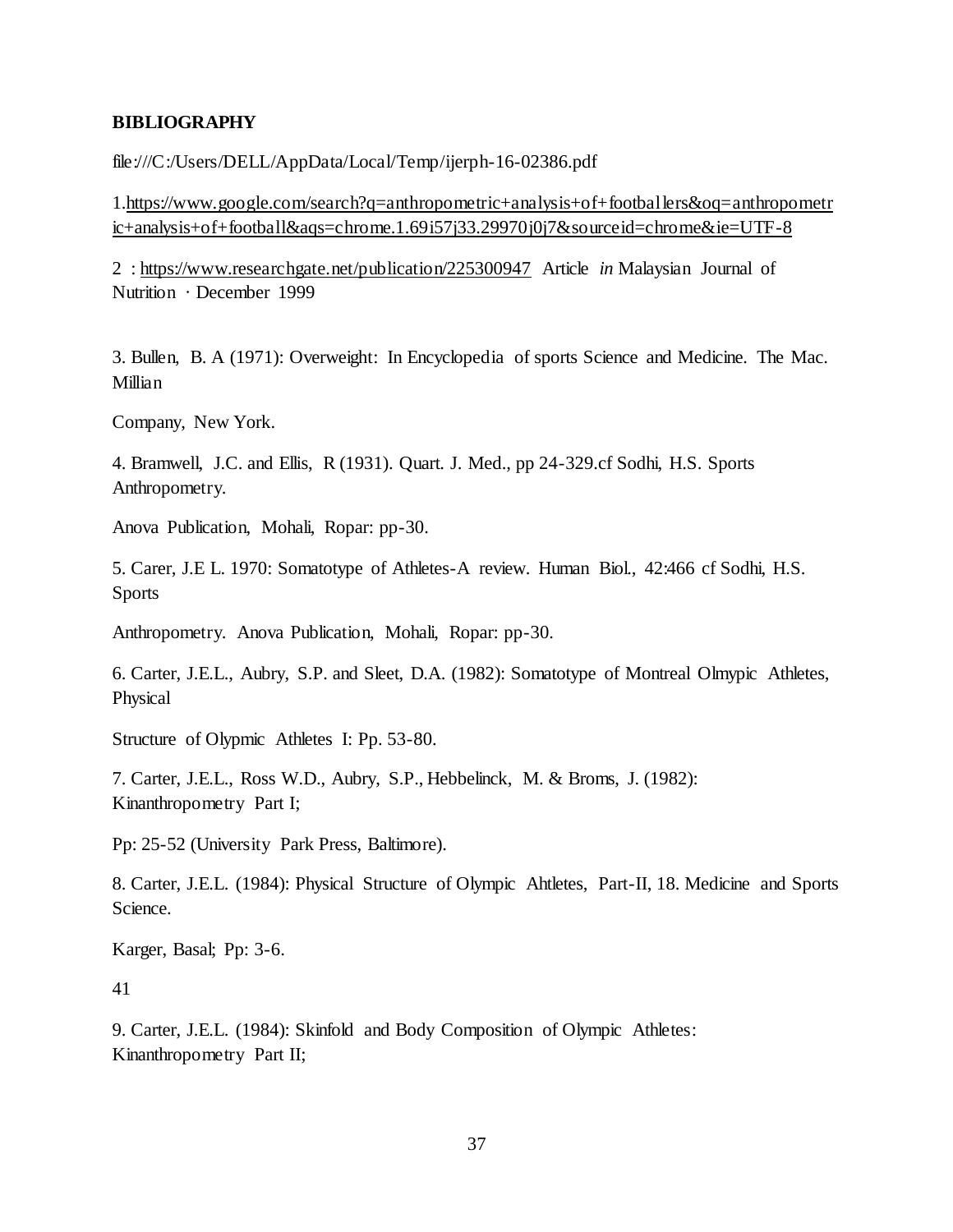#### **BIBLIOGRAPHY**

file:///C:/Users/DELL/AppData/Local/Temp/ijerph-16-02386.pdf

1[.https://www.google.com/search?q=anthropometric+analysis+of+footballers&oq=anthropometr](https://www.google.com/search?q=anthropometric+analysis+of+footballers&oq=anthropometr%20%20%20ic+analysis+of+football&aqs=chrome.1.69i57j33.29970j0j7&sourceid=chrome&ie=UTF-8)  [ic+analysis+of+football&aqs=chrome.1.69i57j33.29970j0j7&sourceid=chrome&ie=UTF-8](https://www.google.com/search?q=anthropometric+analysis+of+footballers&oq=anthropometr%20%20%20ic+analysis+of+football&aqs=chrome.1.69i57j33.29970j0j7&sourceid=chrome&ie=UTF-8)

2 :<https://www.researchgate.net/publication/225300947> Article *in* Malaysian Journal of Nutrition · December 1999

3. Bullen, B. A (1971): Overweight: In Encyclopedia of sports Science and Medicine. The Mac. Millian

Company, New York.

4. Bramwell, J.C. and Ellis, R (1931). Quart. J. Med., pp 24-329.cf Sodhi, H.S. Sports Anthropometry.

Anova Publication, Mohali, Ropar: pp-30.

5. Carer, J.E L. 1970: Somatotype of Athletes-A review. Human Biol., 42:466 cf Sodhi, H.S. Sports

Anthropometry. Anova Publication, Mohali, Ropar: pp-30.

6. Carter, J.E.L., Aubry, S.P. and Sleet, D.A. (1982): Somatotype of Montreal Olmypic Athletes, Physical

Structure of Olypmic Athletes I: Pp. 53-80.

7. Carter, J.E.L., Ross W.D., Aubry, S.P., Hebbelinck, M. & Broms, J. (1982): Kinanthropometry Part I;

Pp: 25-52 (University Park Press, Baltimore).

8. Carter, J.E.L. (1984): Physical Structure of Olympic Ahtletes, Part-II, 18. Medicine and Sports Science.

Karger, Basal; Pp: 3-6.

41

9. Carter, J.E.L. (1984): Skinfold and Body Composition of Olympic Athletes: Kinanthropometry Part II;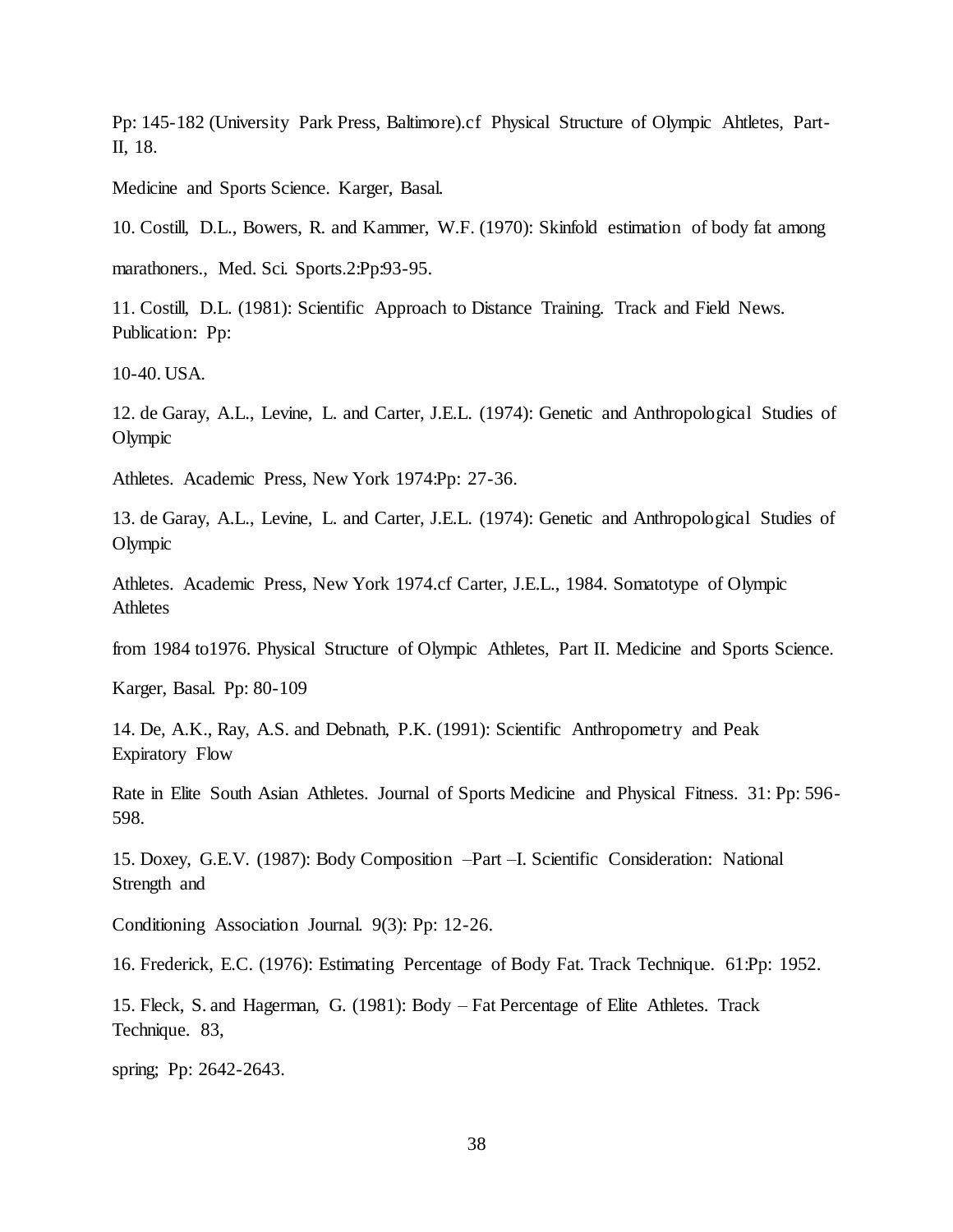Pp: 145-182 (University Park Press, Baltimore).cf Physical Structure of Olympic Ahtletes, Part-II, 18.

Medicine and Sports Science. Karger, Basal.

10. Costill, D.L., Bowers, R. and Kammer, W.F. (1970): Skinfold estimation of body fat among

marathoners., Med. Sci. Sports.2:Pp:93-95.

11. Costill, D.L. (1981): Scientific Approach to Distance Training. Track and Field News. Publication: Pp:

10-40. USA.

12. de Garay, A.L., Levine, L. and Carter, J.E.L. (1974): Genetic and Anthropological Studies of Olympic

Athletes. Academic Press, New York 1974:Pp: 27-36.

13. de Garay, A.L., Levine, L. and Carter, J.E.L. (1974): Genetic and Anthropological Studies of Olympic

Athletes. Academic Press, New York 1974.cf Carter, J.E.L., 1984. Somatotype of Olympic **Athletes** 

from 1984 to1976. Physical Structure of Olympic Athletes, Part II. Medicine and Sports Science.

Karger, Basal. Pp: 80-109

14. De, A.K., Ray, A.S. and Debnath, P.K. (1991): Scientific Anthropometry and Peak Expiratory Flow

Rate in Elite South Asian Athletes. Journal of Sports Medicine and Physical Fitness. 31: Pp: 596- 598.

15. Doxey, G.E.V. (1987): Body Composition –Part –I. Scientific Consideration: National Strength and

Conditioning Association Journal. 9(3): Pp: 12-26.

16. Frederick, E.C. (1976): Estimating Percentage of Body Fat. Track Technique. 61:Pp: 1952.

15. Fleck, S. and Hagerman, G. (1981): Body – Fat Percentage of Elite Athletes. Track Technique. 83,

spring; Pp: 2642-2643.